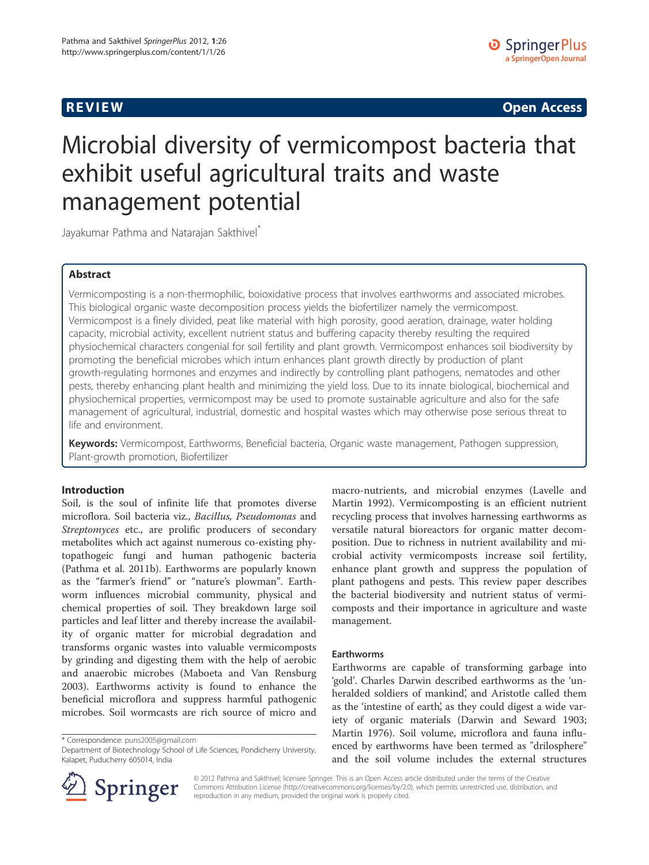**REVIEW REVIEW CONSTRUCTER CONSTRUCTION** 

# Microbial diversity of vermicompost bacteria that exhibit useful agricultural traits and waste management potential

Jayakumar Pathma and Natarajan Sakthivel<sup>\*</sup>

# Abstract

Vermicomposting is a non-thermophilic, boioxidative process that involves earthworms and associated microbes. This biological organic waste decomposition process yields the biofertilizer namely the vermicompost. Vermicompost is a finely divided, peat like material with high porosity, good aeration, drainage, water holding capacity, microbial activity, excellent nutrient status and buffering capacity thereby resulting the required physiochemical characters congenial for soil fertility and plant growth. Vermicompost enhances soil biodiversity by promoting the beneficial microbes which inturn enhances plant growth directly by production of plant growth-regulating hormones and enzymes and indirectly by controlling plant pathogens, nematodes and other pests, thereby enhancing plant health and minimizing the yield loss. Due to its innate biological, biochemical and physiochemical properties, vermicompost may be used to promote sustainable agriculture and also for the safe management of agricultural, industrial, domestic and hospital wastes which may otherwise pose serious threat to life and environment.

Keywords: Vermicompost, Earthworms, Beneficial bacteria, Organic waste management, Pathogen suppression, Plant-growth promotion, Biofertilizer

# Introduction

Soil, is the soul of infinite life that promotes diverse microflora. Soil bacteria viz., Bacillus, Pseudomonas and Streptomyces etc., are prolific producers of secondary metabolites which act against numerous co-existing phytopathogeic fungi and human pathogenic bacteria (Pathma et al. 2011b). Earthworms are popularly known as the "farmer's friend" or "nature's plowman". Earthworm influences microbial community, physical and chemical properties of soil. They breakdown large soil particles and leaf litter and thereby increase the availability of organic matter for microbial degradation and transforms organic wastes into valuable vermicomposts by grinding and digesting them with the help of aerobic and anaerobic microbes (Maboeta and Van Rensburg 2003). Earthworms activity is found to enhance the beneficial microflora and suppress harmful pathogenic microbes. Soil wormcasts are rich source of micro and

\* Correspondence: puns2005@gmail.com

Department of Biotechnology School of Life Sciences, Pondicherry University, Kalapet, Puducherry 605014, India



#### Earthworms

Earthworms are capable of transforming garbage into 'gold'. Charles Darwin described earthworms as the 'unheralded soldiers of mankind', and Aristotle called them as the 'intestine of earth', as they could digest a wide variety of organic materials (Darwin and Seward 1903; Martin 1976). Soil volume, microflora and fauna influenced by earthworms have been termed as "drilosphere" and the soil volume includes the external structures



© 2012 Pathma and Sakthivel; licensee Springer. This is an Open Access article distributed under the terms of the Creative Commons Attribution License (http://creativecommons.org/licenses/by/2.0), which permits unrestricted use, distribution, and reproduction in any medium, provided the original work is properly cited.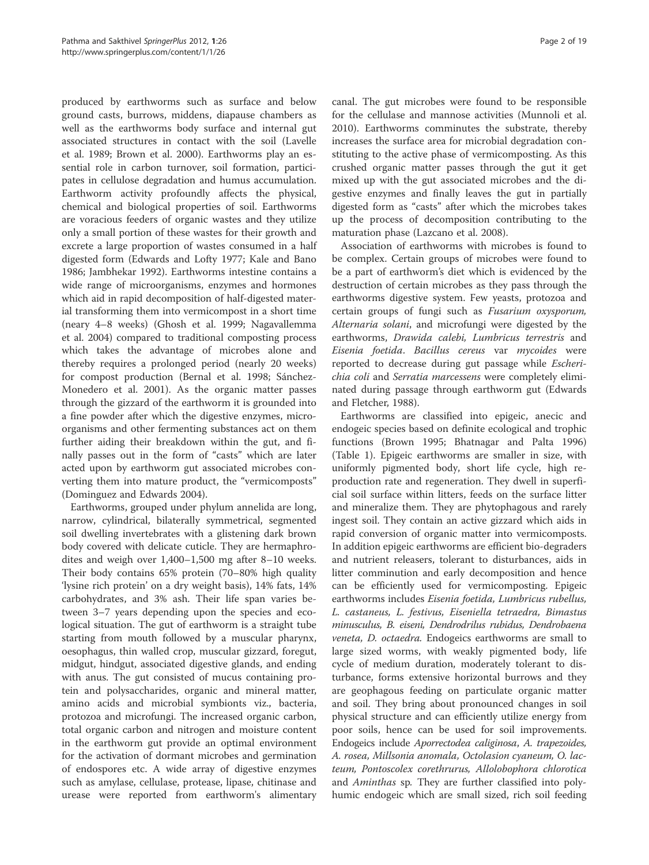produced by earthworms such as surface and below ground casts, burrows, middens, diapause chambers as well as the earthworms body surface and internal gut associated structures in contact with the soil (Lavelle et al. 1989; Brown et al. 2000). Earthworms play an essential role in carbon turnover, soil formation, participates in cellulose degradation and humus accumulation. Earthworm activity profoundly affects the physical, chemical and biological properties of soil. Earthworms are voracious feeders of organic wastes and they utilize only a small portion of these wastes for their growth and excrete a large proportion of wastes consumed in a half digested form (Edwards and Lofty 1977; Kale and Bano 1986; Jambhekar 1992). Earthworms intestine contains a wide range of microorganisms, enzymes and hormones which aid in rapid decomposition of half-digested material transforming them into vermicompost in a short time (neary 4–8 weeks) (Ghosh et al. 1999; Nagavallemma et al. 2004) compared to traditional composting process which takes the advantage of microbes alone and thereby requires a prolonged period (nearly 20 weeks) for compost production (Bernal et al. 1998; Sánchez-Monedero et al. 2001). As the organic matter passes through the gizzard of the earthworm it is grounded into a fine powder after which the digestive enzymes, microorganisms and other fermenting substances act on them further aiding their breakdown within the gut, and finally passes out in the form of "casts" which are later acted upon by earthworm gut associated microbes converting them into mature product, the "vermicomposts" (Dominguez and Edwards 2004).

Earthworms, grouped under phylum annelida are long, narrow, cylindrical, bilaterally symmetrical, segmented soil dwelling invertebrates with a glistening dark brown body covered with delicate cuticle. They are hermaphrodites and weigh over 1,400–1,500 mg after 8–10 weeks. Their body contains 65% protein (70–80% high quality 'lysine rich protein' on a dry weight basis), 14% fats, 14% carbohydrates, and 3% ash. Their life span varies between 3–7 years depending upon the species and ecological situation. The gut of earthworm is a straight tube starting from mouth followed by a muscular pharynx, oesophagus, thin walled crop, muscular gizzard, foregut, midgut, hindgut, associated digestive glands, and ending with anus. The gut consisted of mucus containing protein and polysaccharides, organic and mineral matter, amino acids and microbial symbionts viz., bacteria, protozoa and microfungi. The increased organic carbon, total organic carbon and nitrogen and moisture content in the earthworm gut provide an optimal environment for the activation of dormant microbes and germination of endospores etc. A wide array of digestive enzymes such as amylase, cellulase, protease, lipase, chitinase and urease were reported from earthworm's alimentary

canal. The gut microbes were found to be responsible for the cellulase and mannose activities (Munnoli et al. 2010). Earthworms comminutes the substrate, thereby increases the surface area for microbial degradation constituting to the active phase of vermicomposting. As this crushed organic matter passes through the gut it get mixed up with the gut associated microbes and the digestive enzymes and finally leaves the gut in partially digested form as "casts" after which the microbes takes up the process of decomposition contributing to the maturation phase (Lazcano et al. 2008).

Association of earthworms with microbes is found to be complex. Certain groups of microbes were found to be a part of earthworm's diet which is evidenced by the destruction of certain microbes as they pass through the earthworms digestive system. Few yeasts, protozoa and certain groups of fungi such as Fusarium oxysporum, Alternaria solani, and microfungi were digested by the earthworms, Drawida calebi, Lumbricus terrestris and Eisenia foetida. Bacillus cereus var mycoides were reported to decrease during gut passage while Escherichia coli and Serratia marcessens were completely eliminated during passage through earthworm gut (Edwards and Fletcher, 1988).

Earthworms are classified into epigeic, anecic and endogeic species based on definite ecological and trophic functions (Brown 1995; Bhatnagar and Palta 1996) (Table 1). Epigeic earthworms are smaller in size, with uniformly pigmented body, short life cycle, high reproduction rate and regeneration. They dwell in superficial soil surface within litters, feeds on the surface litter and mineralize them. They are phytophagous and rarely ingest soil. They contain an active gizzard which aids in rapid conversion of organic matter into vermicomposts. In addition epigeic earthworms are efficient bio-degraders and nutrient releasers, tolerant to disturbances, aids in litter comminution and early decomposition and hence can be efficiently used for vermicomposting. Epigeic earthworms includes Eisenia foetida, Lumbricus rubellus, L. castaneus, L. festivus, Eiseniella tetraedra, Bimastus minusculus, B. eiseni, Dendrodrilus rubidus, Dendrobaena veneta, D. octaedra. Endogeics earthworms are small to large sized worms, with weakly pigmented body, life cycle of medium duration, moderately tolerant to disturbance, forms extensive horizontal burrows and they are geophagous feeding on particulate organic matter and soil. They bring about pronounced changes in soil physical structure and can efficiently utilize energy from poor soils, hence can be used for soil improvements. Endogeics include Aporrectodea caliginosa, A. trapezoides, A. rosea, Millsonia anomala, Octolasion cyaneum, O. lacteum, Pontoscolex corethrurus, Allolobophora chlorotica and Aminthas sp. They are further classified into polyhumic endogeic which are small sized, rich soil feeding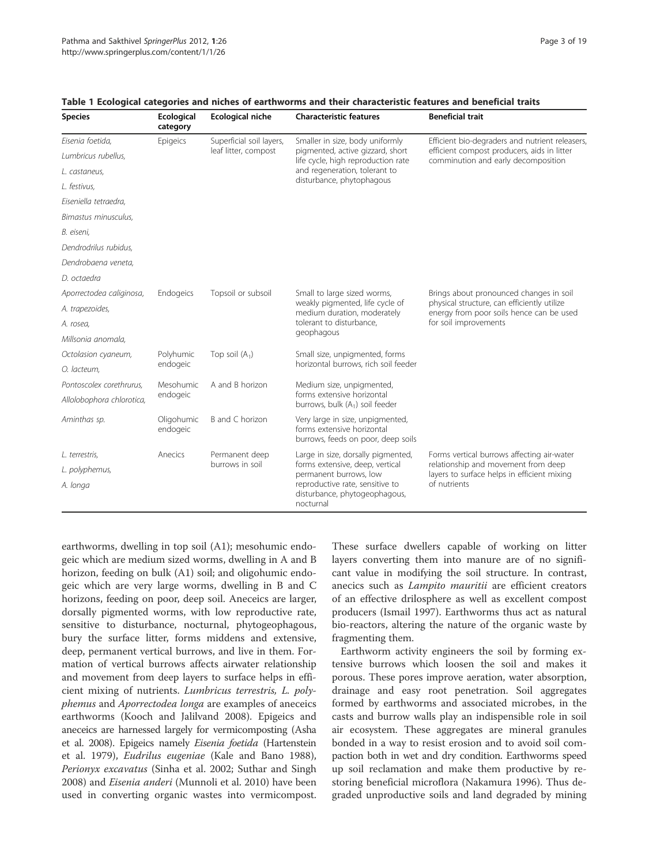| <b>Species</b>            | Ecological<br>category | <b>Ecological niche</b>                          | <b>Characteristic features</b>                                                                                                                                                   | <b>Beneficial trait</b>                                                                                                                                     |
|---------------------------|------------------------|--------------------------------------------------|----------------------------------------------------------------------------------------------------------------------------------------------------------------------------------|-------------------------------------------------------------------------------------------------------------------------------------------------------------|
| Eisenia foetida.          | Epigeics               | Superficial soil layers,<br>leaf litter, compost | Smaller in size, body uniformly<br>pigmented, active gizzard, short<br>life cycle, high reproduction rate<br>and regeneration, tolerant to<br>disturbance, phytophagous          | Efficient bio-degraders and nutrient releasers,<br>efficient compost producers, aids in litter<br>comminution and early decomposition                       |
| Lumbricus rubellus,       |                        |                                                  |                                                                                                                                                                                  |                                                                                                                                                             |
| L. castaneus,             |                        |                                                  |                                                                                                                                                                                  |                                                                                                                                                             |
| L. festivus.              |                        |                                                  |                                                                                                                                                                                  |                                                                                                                                                             |
| Eiseniella tetraedra,     |                        |                                                  |                                                                                                                                                                                  |                                                                                                                                                             |
| Bimastus minusculus,      |                        |                                                  |                                                                                                                                                                                  |                                                                                                                                                             |
| B. eiseni.                |                        |                                                  |                                                                                                                                                                                  |                                                                                                                                                             |
| Dendrodrilus rubidus,     |                        |                                                  |                                                                                                                                                                                  |                                                                                                                                                             |
| Dendrobaena veneta.       |                        |                                                  |                                                                                                                                                                                  |                                                                                                                                                             |
| D. octaedra               |                        |                                                  |                                                                                                                                                                                  |                                                                                                                                                             |
| Aporrectodea caliginosa,  | Endogeics              | Topsoil or subsoil                               | Small to large sized worms,<br>weakly pigmented, life cycle of<br>medium duration, moderately<br>tolerant to disturbance,<br>geophagous                                          | Brings about pronounced changes in soil<br>physical structure, can efficiently utilize<br>energy from poor soils hence can be used<br>for soil improvements |
| A. trapezoides,           |                        |                                                  |                                                                                                                                                                                  |                                                                                                                                                             |
| A. rosea,                 |                        |                                                  |                                                                                                                                                                                  |                                                                                                                                                             |
| Millsonia anomala,        |                        |                                                  |                                                                                                                                                                                  |                                                                                                                                                             |
| Octolasion cyaneum,       | Polyhumic              | Top soil $(A_1)$                                 | Small size, unpigmented, forms<br>horizontal burrows, rich soil feeder                                                                                                           |                                                                                                                                                             |
| O. lacteum,               | endogeic               |                                                  |                                                                                                                                                                                  |                                                                                                                                                             |
| Pontoscolex corethrurus,  | Mesohumic<br>endogeic  | A and B horizon                                  | Medium size, unpigmented,<br>forms extensive horizontal<br>burrows, bulk $(A_1)$ soil feeder                                                                                     |                                                                                                                                                             |
| Allolobophora chlorotica, |                        |                                                  |                                                                                                                                                                                  |                                                                                                                                                             |
| Aminthas sp.              | Oligohumic<br>endogeic | B and C horizon                                  | Very large in size, unpigmented,<br>forms extensive horizontal<br>burrows, feeds on poor, deep soils                                                                             |                                                                                                                                                             |
| L. terrestris,            | Anecics                | Permanent deep<br>burrows in soil                | Large in size, dorsally pigmented,<br>forms extensive, deep, vertical<br>permanent burrows, low<br>reproductive rate, sensitive to<br>disturbance, phytogeophagous,<br>nocturnal | Forms vertical burrows affecting air-water<br>relationship and movement from deep<br>layers to surface helps in efficient mixing                            |
| L. polyphemus,            |                        |                                                  |                                                                                                                                                                                  |                                                                                                                                                             |
| A. longa                  |                        |                                                  |                                                                                                                                                                                  | of nutrients                                                                                                                                                |

#### Table 1 Ecological categories and niches of earthworms and their characteristic features and beneficial traits

earthworms, dwelling in top soil (A1); mesohumic endogeic which are medium sized worms, dwelling in A and B horizon, feeding on bulk (A1) soil; and oligohumic endogeic which are very large worms, dwelling in B and C horizons, feeding on poor, deep soil. Aneceics are larger, dorsally pigmented worms, with low reproductive rate, sensitive to disturbance, nocturnal, phytogeophagous, bury the surface litter, forms middens and extensive, deep, permanent vertical burrows, and live in them. Formation of vertical burrows affects airwater relationship and movement from deep layers to surface helps in efficient mixing of nutrients. Lumbricus terrestris, L. polyphemus and Aporrectodea longa are examples of aneceics earthworms (Kooch and Jalilvand 2008). Epigeics and aneceics are harnessed largely for vermicomposting (Asha et al. 2008). Epigeics namely Eisenia foetida (Hartenstein et al. 1979), Eudrilus eugeniae (Kale and Bano 1988), Perionyx excavatus (Sinha et al. 2002; Suthar and Singh 2008) and Eisenia anderi (Munnoli et al. 2010) have been used in converting organic wastes into vermicompost.

These surface dwellers capable of working on litter layers converting them into manure are of no significant value in modifying the soil structure. In contrast, anecics such as Lampito mauritii are efficient creators of an effective drilosphere as well as excellent compost producers (Ismail 1997). Earthworms thus act as natural bio-reactors, altering the nature of the organic waste by fragmenting them.

Earthworm activity engineers the soil by forming extensive burrows which loosen the soil and makes it porous. These pores improve aeration, water absorption, drainage and easy root penetration. Soil aggregates formed by earthworms and associated microbes, in the casts and burrow walls play an indispensible role in soil air ecosystem. These aggregates are mineral granules bonded in a way to resist erosion and to avoid soil compaction both in wet and dry condition. Earthworms speed up soil reclamation and make them productive by restoring beneficial microflora (Nakamura 1996). Thus degraded unproductive soils and land degraded by mining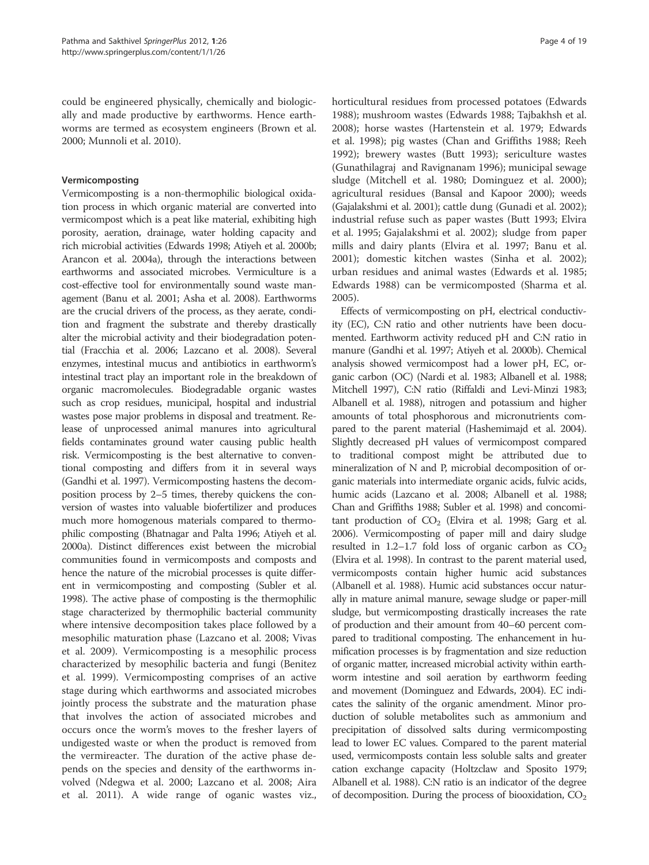could be engineered physically, chemically and biologically and made productive by earthworms. Hence earthworms are termed as ecosystem engineers (Brown et al. 2000; Munnoli et al. 2010).

#### Vermicomposting

Vermicomposting is a non-thermophilic biological oxidation process in which organic material are converted into vermicompost which is a peat like material, exhibiting high porosity, aeration, drainage, water holding capacity and rich microbial activities (Edwards 1998; Atiyeh et al. 2000b; Arancon et al. 2004a), through the interactions between earthworms and associated microbes. Vermiculture is a cost-effective tool for environmentally sound waste management (Banu et al. 2001; Asha et al. 2008). Earthworms are the crucial drivers of the process, as they aerate, condition and fragment the substrate and thereby drastically alter the microbial activity and their biodegradation potential (Fracchia et al. 2006; Lazcano et al. 2008). Several enzymes, intestinal mucus and antibiotics in earthworm's intestinal tract play an important role in the breakdown of organic macromolecules. Biodegradable organic wastes such as crop residues, municipal, hospital and industrial wastes pose major problems in disposal and treatment. Release of unprocessed animal manures into agricultural fields contaminates ground water causing public health risk. Vermicomposting is the best alternative to conventional composting and differs from it in several ways (Gandhi et al. 1997). Vermicomposting hastens the decomposition process by 2–5 times, thereby quickens the conversion of wastes into valuable biofertilizer and produces much more homogenous materials compared to thermophilic composting (Bhatnagar and Palta 1996; Atiyeh et al. 2000a). Distinct differences exist between the microbial communities found in vermicomposts and composts and hence the nature of the microbial processes is quite different in vermicomposting and composting (Subler et al. 1998). The active phase of composting is the thermophilic stage characterized by thermophilic bacterial community where intensive decomposition takes place followed by a mesophilic maturation phase (Lazcano et al. 2008; Vivas et al. 2009). Vermicomposting is a mesophilic process characterized by mesophilic bacteria and fungi (Benitez et al. 1999). Vermicomposting comprises of an active stage during which earthworms and associated microbes jointly process the substrate and the maturation phase that involves the action of associated microbes and occurs once the worm's moves to the fresher layers of undigested waste or when the product is removed from the vermireacter. The duration of the active phase depends on the species and density of the earthworms involved (Ndegwa et al. 2000; Lazcano et al. 2008; Aira et al. 2011). A wide range of oganic wastes viz.,

horticultural residues from processed potatoes (Edwards 1988); mushroom wastes (Edwards 1988; Tajbakhsh et al. 2008); horse wastes (Hartenstein et al. 1979; Edwards et al. 1998); pig wastes (Chan and Griffiths 1988; Reeh 1992); brewery wastes (Butt 1993); sericulture wastes (Gunathilagraj and Ravignanam 1996); municipal sewage sludge (Mitchell et al. 1980; Dominguez et al. 2000); agricultural residues (Bansal and Kapoor 2000); weeds (Gajalakshmi et al. 2001); cattle dung (Gunadi et al. 2002); industrial refuse such as paper wastes (Butt 1993; Elvira et al. 1995; Gajalakshmi et al. 2002); sludge from paper mills and dairy plants (Elvira et al. 1997; Banu et al. 2001); domestic kitchen wastes (Sinha et al. 2002); urban residues and animal wastes (Edwards et al. 1985; Edwards 1988) can be vermicomposted (Sharma et al. 2005).

Effects of vermicomposting on pH, electrical conductivity (EC), C:N ratio and other nutrients have been documented. Earthworm activity reduced pH and C:N ratio in manure (Gandhi et al. 1997; Atiyeh et al. 2000b). Chemical analysis showed vermicompost had a lower pH, EC, organic carbon (OC) (Nardi et al. 1983; Albanell et al. 1988; Mitchell 1997), C:N ratio (Riffaldi and Levi-Minzi 1983; Albanell et al. 1988), nitrogen and potassium and higher amounts of total phosphorous and micronutrients compared to the parent material (Hashemimajd et al. 2004). Slightly decreased pH values of vermicompost compared to traditional compost might be attributed due to mineralization of N and P, microbial decomposition of organic materials into intermediate organic acids, fulvic acids, humic acids (Lazcano et al. 2008; Albanell et al. 1988; Chan and Griffiths 1988; Subler et al. 1998) and concomitant production of  $CO<sub>2</sub>$  (Elvira et al. 1998; Garg et al. 2006). Vermicomposting of paper mill and dairy sludge resulted in 1.2–1.7 fold loss of organic carbon as  $CO<sub>2</sub>$ (Elvira et al. 1998). In contrast to the parent material used, vermicomposts contain higher humic acid substances (Albanell et al. 1988). Humic acid substances occur naturally in mature animal manure, sewage sludge or paper-mill sludge, but vermicomposting drastically increases the rate of production and their amount from 40–60 percent compared to traditional composting. The enhancement in humification processes is by fragmentation and size reduction of organic matter, increased microbial activity within earthworm intestine and soil aeration by earthworm feeding and movement (Dominguez and Edwards, 2004). EC indicates the salinity of the organic amendment. Minor production of soluble metabolites such as ammonium and precipitation of dissolved salts during vermicomposting lead to lower EC values. Compared to the parent material used, vermicomposts contain less soluble salts and greater cation exchange capacity (Holtzclaw and Sposito 1979; Albanell et al. 1988). C:N ratio is an indicator of the degree of decomposition. During the process of biooxidation,  $CO<sub>2</sub>$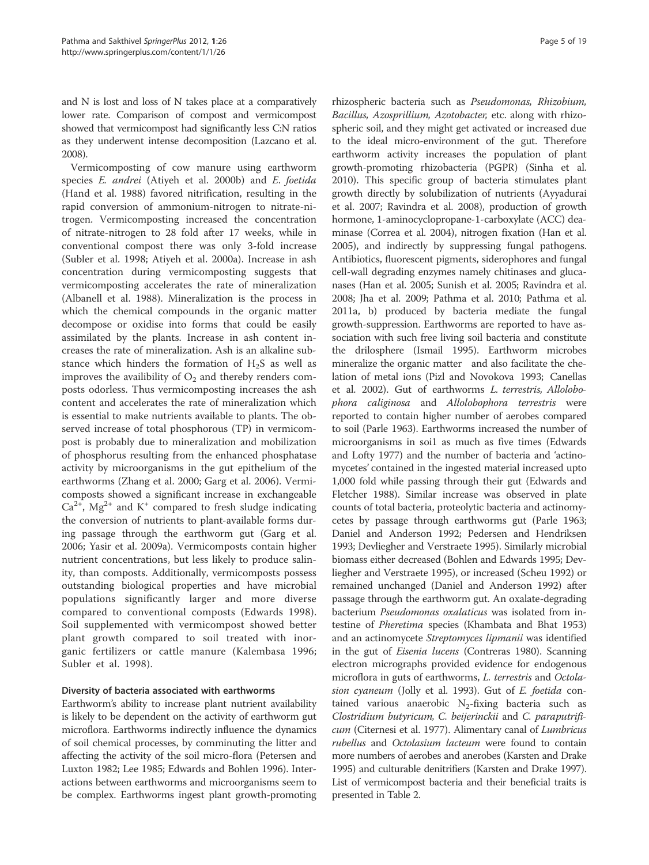and N is lost and loss of N takes place at a comparatively lower rate. Comparison of compost and vermicompost showed that vermicompost had significantly less C:N ratios as they underwent intense decomposition (Lazcano et al. 2008).

Vermicomposting of cow manure using earthworm species E. andrei (Atiyeh et al. 2000b) and E. foetida (Hand et al. 1988) favored nitrification, resulting in the rapid conversion of ammonium-nitrogen to nitrate-nitrogen. Vermicomposting increased the concentration of nitrate-nitrogen to 28 fold after 17 weeks, while in conventional compost there was only 3-fold increase (Subler et al. 1998; Atiyeh et al. 2000a). Increase in ash concentration during vermicomposting suggests that vermicomposting accelerates the rate of mineralization (Albanell et al. 1988). Mineralization is the process in which the chemical compounds in the organic matter decompose or oxidise into forms that could be easily assimilated by the plants. Increase in ash content increases the rate of mineralization. Ash is an alkaline substance which hinders the formation of  $H_2S$  as well as improves the availibility of  $O_2$  and thereby renders composts odorless. Thus vermicomposting increases the ash content and accelerates the rate of mineralization which is essential to make nutrients available to plants. The observed increase of total phosphorous (TP) in vermicompost is probably due to mineralization and mobilization of phosphorus resulting from the enhanced phosphatase activity by microorganisms in the gut epithelium of the earthworms (Zhang et al. 2000; Garg et al. 2006). Vermicomposts showed a significant increase in exchangeable  $Ca^{2+}$ , Mg<sup>2+</sup> and K<sup>+</sup> compared to fresh sludge indicating the conversion of nutrients to plant-available forms during passage through the earthworm gut (Garg et al. 2006; Yasir et al. 2009a). Vermicomposts contain higher nutrient concentrations, but less likely to produce salinity, than composts. Additionally, vermicomposts possess outstanding biological properties and have microbial populations significantly larger and more diverse compared to conventional composts (Edwards 1998). Soil supplemented with vermicompost showed better plant growth compared to soil treated with inorganic fertilizers or cattle manure (Kalembasa 1996; Subler et al. 1998).

#### Diversity of bacteria associated with earthworms

Earthworm's ability to increase plant nutrient availability is likely to be dependent on the activity of earthworm gut microflora. Earthworms indirectly influence the dynamics of soil chemical processes, by comminuting the litter and affecting the activity of the soil micro-flora (Petersen and Luxton 1982; Lee 1985; Edwards and Bohlen 1996). Interactions between earthworms and microorganisms seem to be complex. Earthworms ingest plant growth-promoting

rhizospheric bacteria such as Pseudomonas, Rhizobium, Bacillus, Azosprillium, Azotobacter, etc. along with rhizospheric soil, and they might get activated or increased due to the ideal micro-environment of the gut. Therefore earthworm activity increases the population of plant growth-promoting rhizobacteria (PGPR) (Sinha et al. 2010). This specific group of bacteria stimulates plant growth directly by solubilization of nutrients (Ayyadurai et al. 2007; Ravindra et al. 2008), production of growth hormone, 1-aminocyclopropane-1-carboxylate (ACC) deaminase (Correa et al. 2004), nitrogen fixation (Han et al. 2005), and indirectly by suppressing fungal pathogens. Antibiotics, fluorescent pigments, siderophores and fungal cell-wall degrading enzymes namely chitinases and glucanases (Han et al. 2005; Sunish et al. 2005; Ravindra et al. 2008; Jha et al. 2009; Pathma et al. 2010; Pathma et al. 2011a, b) produced by bacteria mediate the fungal growth-suppression. Earthworms are reported to have association with such free living soil bacteria and constitute the drilosphere (Ismail 1995). Earthworm microbes mineralize the organic matter and also facilitate the chelation of metal ions (Pizl and Novokova 1993; Canellas et al. 2002). Gut of earthworms L. terrestris, Allolobophora caliginosa and Allolobophora terrestris were reported to contain higher number of aerobes compared to soil (Parle 1963). Earthworms increased the number of microorganisms in soi1 as much as five times (Edwards and Lofty 1977) and the number of bacteria and 'actinomycetes' contained in the ingested material increased upto 1,000 fold while passing through their gut (Edwards and Fletcher 1988). Similar increase was observed in plate counts of total bacteria, proteolytic bacteria and actinomycetes by passage through earthworms gut (Parle 1963; Daniel and Anderson 1992; Pedersen and Hendriksen 1993; Devliegher and Verstraete 1995). Similarly microbial biomass either decreased (Bohlen and Edwards 1995; Devliegher and Verstraete 1995), or increased (Scheu 1992) or remained unchanged (Daniel and Anderson 1992) after passage through the earthworm gut. An oxalate-degrading bacterium Pseudomonas oxalaticus was isolated from intestine of Pheretima species (Khambata and Bhat 1953) and an actinomycete Streptomyces lipmanii was identified in the gut of Eisenia lucens (Contreras 1980). Scanning electron micrographs provided evidence for endogenous microflora in guts of earthworms, L. terrestris and Octolasion cyaneum (Jolly et al. 1993). Gut of *E. foetida* contained various anaerobic  $N_2$ -fixing bacteria such as Clostridium butyricum, C. beijerinckii and C. paraputrificum (Citernesi et al. 1977). Alimentary canal of Lumbricus rubellus and Octolasium lacteum were found to contain more numbers of aerobes and anerobes (Karsten and Drake 1995) and culturable denitrifiers (Karsten and Drake 1997). List of vermicompost bacteria and their beneficial traits is presented in Table 2.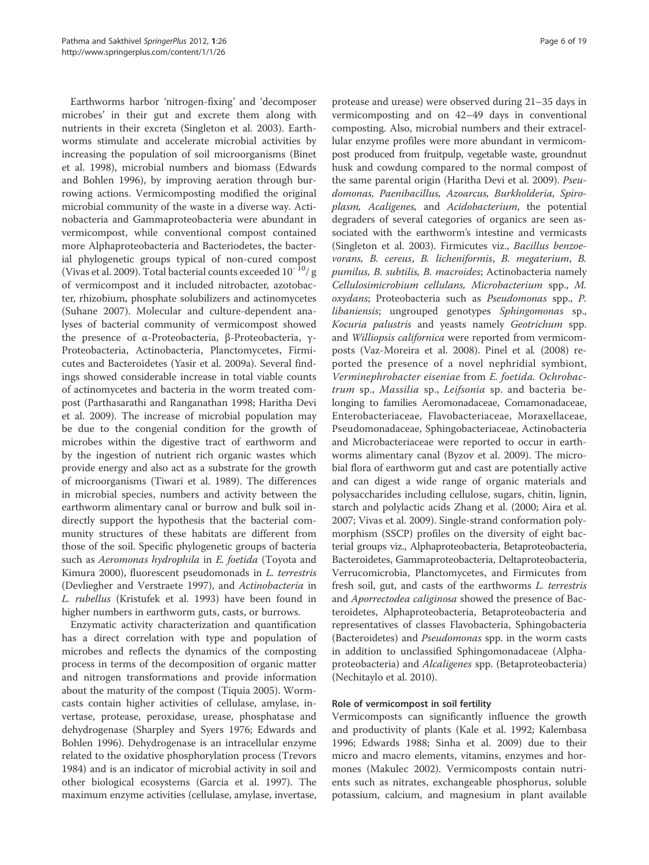Earthworms harbor 'nitrogen-fixing' and 'decomposer microbes' in their gut and excrete them along with nutrients in their excreta (Singleton et al. 2003). Earthworms stimulate and accelerate microbial activities by increasing the population of soil microorganisms (Binet et al. 1998), microbial numbers and biomass (Edwards and Bohlen 1996), by improving aeration through burrowing actions. Vermicomposting modified the original microbial community of the waste in a diverse way. Actinobacteria and Gammaproteobacteria were abundant in vermicompost, while conventional compost contained more Alphaproteobacteria and Bacteriodetes, the bacterial phylogenetic groups typical of non-cured compost (Vivas et al. 2009). Total bacterial counts exceeded  $10^{-10}$ / g of vermicompost and it included nitrobacter, azotobacter, rhizobium, phosphate solubilizers and actinomycetes (Suhane 2007). Molecular and culture-dependent analyses of bacterial community of vermicompost showed the presence of α-Proteobacteria, β-Proteobacteria, γ-Proteobacteria, Actinobacteria, Planctomycetes, Firmicutes and Bacteroidetes (Yasir et al. 2009a). Several findings showed considerable increase in total viable counts of actinomycetes and bacteria in the worm treated compost (Parthasarathi and Ranganathan 1998; Haritha Devi et al. 2009). The increase of microbial population may be due to the congenial condition for the growth of microbes within the digestive tract of earthworm and by the ingestion of nutrient rich organic wastes which provide energy and also act as a substrate for the growth of microorganisms (Tiwari et al. 1989). The differences in microbial species, numbers and activity between the earthworm alimentary canal or burrow and bulk soil indirectly support the hypothesis that the bacterial community structures of these habitats are different from those of the soil. Specific phylogenetic groups of bacteria such as Aeromonas hydrophila in E. foetida (Toyota and Kimura 2000), fluorescent pseudomonads in L. terrestris (Devliegher and Verstraete 1997), and Actinobacteria in L. rubellus (Kristufek et al. 1993) have been found in higher numbers in earthworm guts, casts, or burrows.

Enzymatic activity characterization and quantification has a direct correlation with type and population of microbes and reflects the dynamics of the composting process in terms of the decomposition of organic matter and nitrogen transformations and provide information about the maturity of the compost (Tiquia 2005). Wormcasts contain higher activities of cellulase, amylase, invertase, protease, peroxidase, urease, phosphatase and dehydrogenase (Sharpley and Syers 1976; Edwards and Bohlen 1996). Dehydrogenase is an intracellular enzyme related to the oxidative phosphorylation process (Trevors 1984) and is an indicator of microbial activity in soil and other biological ecosystems (Garcia et al. 1997). The maximum enzyme activities (cellulase, amylase, invertase,

protease and urease) were observed during 21–35 days in vermicomposting and on 42–49 days in conventional composting. Also, microbial numbers and their extracellular enzyme profiles were more abundant in vermicompost produced from fruitpulp, vegetable waste, groundnut husk and cowdung compared to the normal compost of the same parental origin (Haritha Devi et al. 2009). Pseudomonas, Paenibacillus, Azoarcus, Burkholderia, Spiroplasm, Acaligenes, and Acidobacterium, the potential degraders of several categories of organics are seen associated with the earthworm's intestine and vermicasts (Singleton et al. 2003). Firmicutes viz., Bacillus benzoevorans, B. cereus, B. licheniformis, B. megaterium, B. pumilus, B. subtilis, B. macroides; Actinobacteria namely Cellulosimicrobium cellulans, Microbacterium spp., M. oxydans; Proteobacteria such as Pseudomonas spp., P. libaniensis; ungrouped genotypes Sphingomonas sp., Kocuria palustris and yeasts namely Geotrichum spp. and Williopsis californica were reported from vermicomposts (Vaz-Moreira et al. 2008). Pinel et al. (2008) reported the presence of a novel nephridial symbiont, Verminephrobacter eiseniae from E. foetida. Ochrobactrum sp., Massilia sp., Leifsonia sp. and bacteria belonging to families Aeromonadaceae, Comamonadaceae, Enterobacteriaceae, Flavobacteriaceae, Moraxellaceae, Pseudomonadaceae, Sphingobacteriaceae, Actinobacteria and Microbacteriaceae were reported to occur in earthworms alimentary canal (Byzov et al. 2009). The microbial flora of earthworm gut and cast are potentially active and can digest a wide range of organic materials and polysaccharides including cellulose, sugars, chitin, lignin, starch and polylactic acids Zhang et al. (2000; Aira et al. 2007; Vivas et al. 2009). Single-strand conformation polymorphism (SSCP) profiles on the diversity of eight bacterial groups viz., Alphaproteobacteria, Betaproteobacteria, Bacteroidetes, Gammaproteobacteria, Deltaproteobacteria, Verrucomicrobia, Planctomycetes, and Firmicutes from fresh soil, gut, and casts of the earthworms L. terrestris and Aporrectodea caliginosa showed the presence of Bacteroidetes, Alphaproteobacteria, Betaproteobacteria and representatives of classes Flavobacteria, Sphingobacteria (Bacteroidetes) and *Pseudomonas* spp. in the worm casts in addition to unclassified Sphingomonadaceae (Alphaproteobacteria) and Alcaligenes spp. (Betaproteobacteria) (Nechitaylo et al. 2010).

# Role of vermicompost in soil fertility

Vermicomposts can significantly influence the growth and productivity of plants (Kale et al. 1992; Kalembasa 1996; Edwards 1988; Sinha et al. 2009) due to their micro and macro elements, vitamins, enzymes and hormones (Makulec 2002). Vermicomposts contain nutrients such as nitrates, exchangeable phosphorus, soluble potassium, calcium, and magnesium in plant available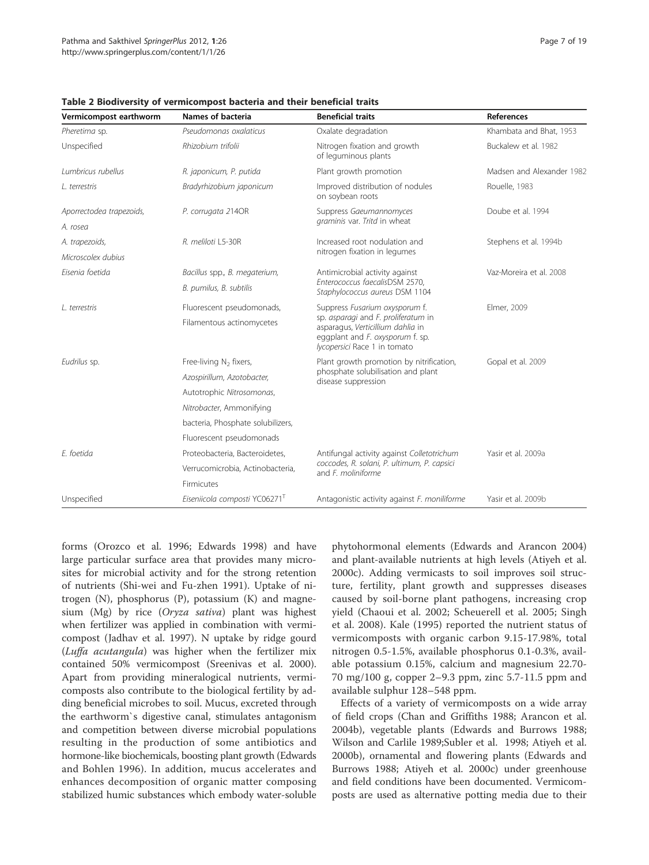| Vermicompost earthworm   | <b>Names of bacteria</b>                  | <b>Beneficial traits</b>                                                                                                                     | <b>References</b>         |
|--------------------------|-------------------------------------------|----------------------------------------------------------------------------------------------------------------------------------------------|---------------------------|
| Pheretima sp.            | Pseudomonas oxalaticus                    | Oxalate degradation                                                                                                                          | Khambata and Bhat, 1953   |
| Unspecified              | Rhizobium trifolii                        | Nitrogen fixation and growth<br>of leguminous plants                                                                                         | Buckalew et al. 1982      |
| Lumbricus rubellus       | R. japonicum, P. putida                   | Plant growth promotion                                                                                                                       | Madsen and Alexander 1982 |
| L. terrestris            | Bradyrhizobium japonicum                  | Improved distribution of nodules<br>on soybean roots                                                                                         | Rouelle, 1983             |
| Aporrectodea trapezoids, | P. corrugata 214OR                        | Suppress Gaeumannomyces                                                                                                                      | Doube et al. 1994         |
| A. rosea                 |                                           | graminis var. Tritd in wheat                                                                                                                 |                           |
| A. trapezoids,           | R. meliloti L5-30R                        | Increased root nodulation and                                                                                                                | Stephens et al. 1994b     |
| Microscolex dubius       |                                           | nitrogen fixation in legumes                                                                                                                 |                           |
| Eisenia foetida          | Bacillus spp., B. megaterium,             | Antimicrobial activity against                                                                                                               | Vaz-Moreira et al. 2008   |
|                          | B. pumilus, B. subtilis                   | Enterococcus faecalisDSM 2570.<br>Staphylococcus aureus DSM 1104                                                                             |                           |
| L. terrestris            | Fluorescent pseudomonads,                 | Suppress Fusarium oxysporum f.                                                                                                               | Elmer, 2009               |
|                          | Filamentous actinomycetes                 | sp. asparagi and F. proliferatum in<br>asparagus, Verticillium dahlia in<br>eggplant and F. oxysporum f. sp.<br>lycopersici Race 1 in tomato |                           |
| Eudrilus sp.             | Free-living N <sub>2</sub> fixers,        | Plant growth promotion by nitrification,                                                                                                     | Gopal et al. 2009         |
|                          | Azospirillum, Azotobacter,                | phosphate solubilisation and plant<br>disease suppression                                                                                    |                           |
|                          | Autotrophic Nitrosomonas,                 |                                                                                                                                              |                           |
|                          | Nitrobacter, Ammonifying                  |                                                                                                                                              |                           |
|                          | bacteria, Phosphate solubilizers,         |                                                                                                                                              |                           |
|                          | Fluorescent pseudomonads                  |                                                                                                                                              |                           |
| E. foetida               | Proteobacteria, Bacteroidetes,            | Antifungal activity against Colletotrichum                                                                                                   | Yasir et al. 2009a        |
|                          | Verrucomicrobia, Actinobacteria,          | coccodes, R. solani, P. ultimum, P. capsici<br>and F. moliniforme                                                                            |                           |
|                          | Firmicutes                                |                                                                                                                                              |                           |
| Unspecified              | Eiseniicola composti YC06271 <sup>T</sup> | Antagonistic activity against F. moniliforme                                                                                                 | Yasir et al. 2009b        |

Table 2 Biodiversity of vermicompost bacteria and their beneficial traits

forms (Orozco et al. 1996; Edwards 1998) and have large particular surface area that provides many microsites for microbial activity and for the strong retention of nutrients (Shi-wei and Fu-zhen 1991). Uptake of nitrogen (N), phosphorus (P), potassium (K) and magnesium (Mg) by rice (Oryza sativa) plant was highest when fertilizer was applied in combination with vermicompost (Jadhav et al. 1997). N uptake by ridge gourd (Luffa acutangula) was higher when the fertilizer mix contained 50% vermicompost (Sreenivas et al. 2000). Apart from providing mineralogical nutrients, vermicomposts also contribute to the biological fertility by adding beneficial microbes to soil. Mucus, excreted through the earthworm`s digestive canal, stimulates antagonism and competition between diverse microbial populations resulting in the production of some antibiotics and hormone-like biochemicals, boosting plant growth (Edwards and Bohlen 1996). In addition, mucus accelerates and enhances decomposition of organic matter composing stabilized humic substances which embody water-soluble

phytohormonal elements (Edwards and Arancon 2004) and plant-available nutrients at high levels (Atiyeh et al. 2000c). Adding vermicasts to soil improves soil structure, fertility, plant growth and suppresses diseases caused by soil-borne plant pathogens, increasing crop yield (Chaoui et al. 2002; Scheuerell et al. 2005; Singh et al. 2008). Kale (1995) reported the nutrient status of vermicomposts with organic carbon 9.15-17.98%, total nitrogen 0.5-1.5%, available phosphorus 0.1-0.3%, available potassium 0.15%, calcium and magnesium 22.70- 70 mg/100 g, copper 2–9.3 ppm, zinc 5.7-11.5 ppm and available sulphur 128–548 ppm.

Effects of a variety of vermicomposts on a wide array of field crops (Chan and Griffiths 1988; Arancon et al. 2004b), vegetable plants (Edwards and Burrows 1988; Wilson and Carlile 1989;Subler et al. 1998; Atiyeh et al. 2000b), ornamental and flowering plants (Edwards and Burrows 1988; Atiyeh et al. 2000c) under greenhouse and field conditions have been documented. Vermicomposts are used as alternative potting media due to their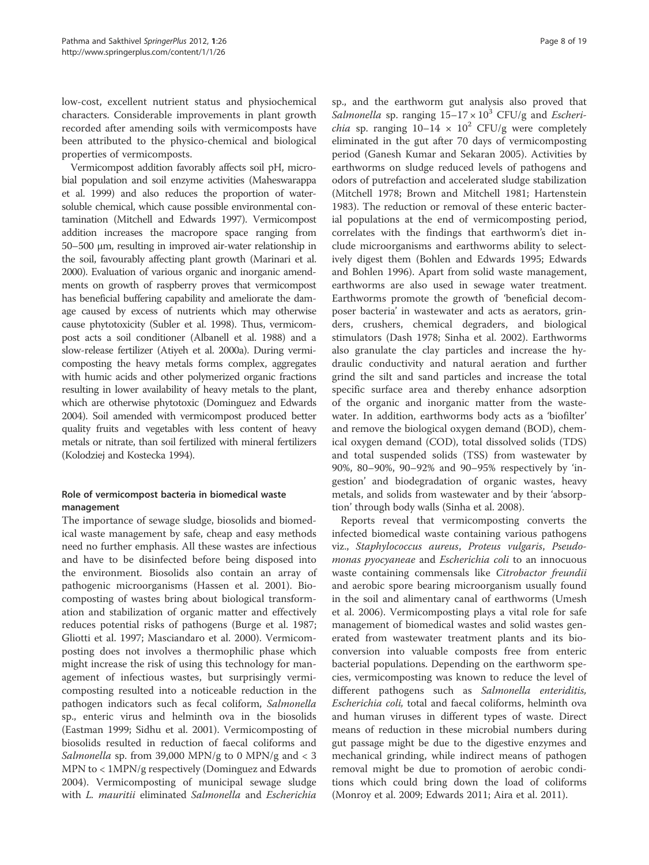low-cost, excellent nutrient status and physiochemical characters. Considerable improvements in plant growth recorded after amending soils with vermicomposts have been attributed to the physico-chemical and biological properties of vermicomposts.

Vermicompost addition favorably affects soil pH, microbial population and soil enzyme activities (Maheswarappa et al. 1999) and also reduces the proportion of watersoluble chemical, which cause possible environmental contamination (Mitchell and Edwards 1997). Vermicompost addition increases the macropore space ranging from 50–500 μm, resulting in improved air-water relationship in the soil, favourably affecting plant growth (Marinari et al. 2000). Evaluation of various organic and inorganic amendments on growth of raspberry proves that vermicompost has beneficial buffering capability and ameliorate the damage caused by excess of nutrients which may otherwise cause phytotoxicity (Subler et al. 1998). Thus, vermicompost acts a soil conditioner (Albanell et al. 1988) and a slow-release fertilizer (Atiyeh et al. 2000a). During vermicomposting the heavy metals forms complex, aggregates with humic acids and other polymerized organic fractions resulting in lower availability of heavy metals to the plant, which are otherwise phytotoxic (Dominguez and Edwards 2004). Soil amended with vermicompost produced better quality fruits and vegetables with less content of heavy metals or nitrate, than soil fertilized with mineral fertilizers (Kolodziej and Kostecka 1994).

# Role of vermicompost bacteria in biomedical waste management

The importance of sewage sludge, biosolids and biomedical waste management by safe, cheap and easy methods need no further emphasis. All these wastes are infectious and have to be disinfected before being disposed into the environment. Biosolids also contain an array of pathogenic microorganisms (Hassen et al. 2001). Biocomposting of wastes bring about biological transformation and stabilization of organic matter and effectively reduces potential risks of pathogens (Burge et al. 1987; Gliotti et al. 1997; Masciandaro et al. 2000). Vermicomposting does not involves a thermophilic phase which might increase the risk of using this technology for management of infectious wastes, but surprisingly vermicomposting resulted into a noticeable reduction in the pathogen indicators such as fecal coliform, Salmonella sp., enteric virus and helminth ova in the biosolids (Eastman 1999; Sidhu et al. 2001). Vermicomposting of biosolids resulted in reduction of faecal coliforms and Salmonella sp. from 39,000 MPN/g to 0 MPN/g and  $<$  3 MPN to < 1MPN/g respectively (Dominguez and Edwards 2004). Vermicomposting of municipal sewage sludge with L. mauritii eliminated Salmonella and Escherichia

sp., and the earthworm gut analysis also proved that Salmonella sp. ranging  $15-17 \times 10^3$  CFU/g and *Escherichia* sp. ranging  $10-14 \times 10^2$  CFU/g were completely eliminated in the gut after 70 days of vermicomposting period (Ganesh Kumar and Sekaran 2005). Activities by earthworms on sludge reduced levels of pathogens and odors of putrefaction and accelerated sludge stabilization (Mitchell 1978; Brown and Mitchell 1981; Hartenstein 1983). The reduction or removal of these enteric bacterial populations at the end of vermicomposting period, correlates with the findings that earthworm's diet include microorganisms and earthworms ability to selectively digest them (Bohlen and Edwards 1995; Edwards and Bohlen 1996). Apart from solid waste management, earthworms are also used in sewage water treatment. Earthworms promote the growth of 'beneficial decomposer bacteria' in wastewater and acts as aerators, grinders, crushers, chemical degraders, and biological stimulators (Dash 1978; Sinha et al. 2002). Earthworms also granulate the clay particles and increase the hydraulic conductivity and natural aeration and further grind the silt and sand particles and increase the total specific surface area and thereby enhance adsorption of the organic and inorganic matter from the wastewater. In addition, earthworms body acts as a 'biofilter' and remove the biological oxygen demand (BOD), chemical oxygen demand (COD), total dissolved solids (TDS) and total suspended solids (TSS) from wastewater by 90%, 80–90%, 90–92% and 90–95% respectively by 'ingestion' and biodegradation of organic wastes, heavy metals, and solids from wastewater and by their 'absorption' through body walls (Sinha et al. 2008).

Reports reveal that vermicomposting converts the infected biomedical waste containing various pathogens viz., Staphylococcus aureus, Proteus vulgaris, Pseudomonas pyocyaneae and Escherichia coli to an innocuous waste containing commensals like Citrobactor freundii and aerobic spore bearing microorganism usually found in the soil and alimentary canal of earthworms (Umesh et al. 2006). Vermicomposting plays a vital role for safe management of biomedical wastes and solid wastes generated from wastewater treatment plants and its bioconversion into valuable composts free from enteric bacterial populations. Depending on the earthworm species, vermicomposting was known to reduce the level of different pathogens such as Salmonella enteriditis, Escherichia coli, total and faecal coliforms, helminth ova and human viruses in different types of waste. Direct means of reduction in these microbial numbers during gut passage might be due to the digestive enzymes and mechanical grinding, while indirect means of pathogen removal might be due to promotion of aerobic conditions which could bring down the load of coliforms (Monroy et al. 2009; Edwards 2011; Aira et al. 2011).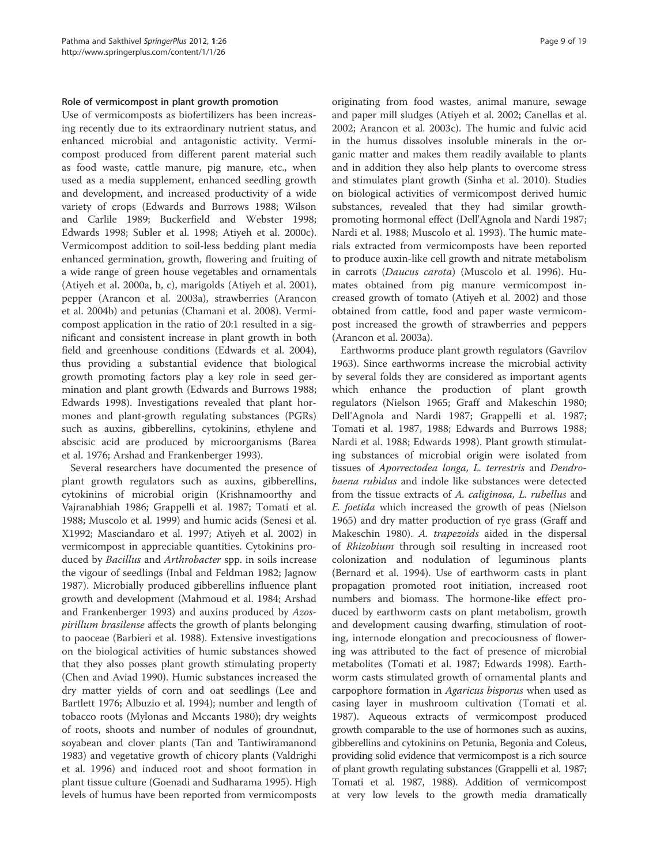#### Role of vermicompost in plant growth promotion

Use of vermicomposts as biofertilizers has been increasing recently due to its extraordinary nutrient status, and enhanced microbial and antagonistic activity. Vermicompost produced from different parent material such as food waste, cattle manure, pig manure, etc., when used as a media supplement, enhanced seedling growth and development, and increased productivity of a wide variety of crops (Edwards and Burrows 1988; Wilson and Carlile 1989; Buckerfield and Webster 1998; Edwards 1998; Subler et al. 1998; Atiyeh et al. 2000c). Vermicompost addition to soil-less bedding plant media enhanced germination, growth, flowering and fruiting of a wide range of green house vegetables and ornamentals (Atiyeh et al. 2000a, b, c), marigolds (Atiyeh et al. 2001), pepper (Arancon et al. 2003a), strawberries (Arancon et al. 2004b) and petunias (Chamani et al. 2008). Vermicompost application in the ratio of 20:1 resulted in a significant and consistent increase in plant growth in both field and greenhouse conditions (Edwards et al. 2004), thus providing a substantial evidence that biological growth promoting factors play a key role in seed germination and plant growth (Edwards and Burrows 1988; Edwards 1998). Investigations revealed that plant hormones and plant-growth regulating substances (PGRs) such as auxins, gibberellins, cytokinins, ethylene and abscisic acid are produced by microorganisms (Barea et al. 1976; Arshad and Frankenberger 1993).

Several researchers have documented the presence of plant growth regulators such as auxins, gibberellins, cytokinins of microbial origin (Krishnamoorthy and Vajranabhiah 1986; Grappelli et al. 1987; Tomati et al. 1988; Muscolo et al. 1999) and humic acids (Senesi et al. X1992; Masciandaro et al. 1997; Atiyeh et al. 2002) in vermicompost in appreciable quantities. Cytokinins produced by Bacillus and Arthrobacter spp. in soils increase the vigour of seedlings (Inbal and Feldman 1982; Jagnow 1987). Microbially produced gibberellins influence plant growth and development (Mahmoud et al. 1984; Arshad and Frankenberger 1993) and auxins produced by Azospirillum brasilense affects the growth of plants belonging to paoceae (Barbieri et al. 1988). Extensive investigations on the biological activities of humic substances showed that they also posses plant growth stimulating property (Chen and Aviad 1990). Humic substances increased the dry matter yields of corn and oat seedlings (Lee and Bartlett 1976; Albuzio et al. 1994); number and length of tobacco roots (Mylonas and Mccants 1980); dry weights of roots, shoots and number of nodules of groundnut, soyabean and clover plants (Tan and Tantiwiramanond 1983) and vegetative growth of chicory plants (Valdrighi et al. 1996) and induced root and shoot formation in plant tissue culture (Goenadi and Sudharama 1995). High levels of humus have been reported from vermicomposts

originating from food wastes, animal manure, sewage and paper mill sludges (Atiyeh et al. 2002; Canellas et al. 2002; Arancon et al. 2003c). The humic and fulvic acid in the humus dissolves insoluble minerals in the organic matter and makes them readily available to plants and in addition they also help plants to overcome stress and stimulates plant growth (Sinha et al. 2010). Studies on biological activities of vermicompost derived humic substances, revealed that they had similar growthpromoting hormonal effect (Dell'Agnola and Nardi 1987; Nardi et al. 1988; Muscolo et al. 1993). The humic materials extracted from vermicomposts have been reported to produce auxin-like cell growth and nitrate metabolism in carrots (Daucus carota) (Muscolo et al. 1996). Humates obtained from pig manure vermicompost increased growth of tomato (Atiyeh et al. 2002) and those obtained from cattle, food and paper waste vermicompost increased the growth of strawberries and peppers (Arancon et al. 2003a).

Earthworms produce plant growth regulators (Gavrilov 1963). Since earthworms increase the microbial activity by several folds they are considered as important agents which enhance the production of plant growth regulators (Nielson 1965; Graff and Makeschin 1980; Dell'Agnola and Nardi 1987; Grappelli et al. 1987; Tomati et al. 1987, 1988; Edwards and Burrows 1988; Nardi et al. 1988; Edwards 1998). Plant growth stimulating substances of microbial origin were isolated from tissues of Aporrectodea longa, L. terrestris and Dendrobaena rubidus and indole like substances were detected from the tissue extracts of A. caliginosa, L. rubellus and E. foetida which increased the growth of peas (Nielson 1965) and dry matter production of rye grass (Graff and Makeschin 1980). A. trapezoids aided in the dispersal of Rhizobium through soil resulting in increased root colonization and nodulation of leguminous plants (Bernard et al. 1994). Use of earthworm casts in plant propagation promoted root initiation, increased root numbers and biomass. The hormone-like effect produced by earthworm casts on plant metabolism, growth and development causing dwarfing, stimulation of rooting, internode elongation and precociousness of flowering was attributed to the fact of presence of microbial metabolites (Tomati et al. 1987; Edwards 1998). Earthworm casts stimulated growth of ornamental plants and carpophore formation in Agaricus bisporus when used as casing layer in mushroom cultivation (Tomati et al. 1987). Aqueous extracts of vermicompost produced growth comparable to the use of hormones such as auxins, gibberellins and cytokinins on Petunia, Begonia and Coleus, providing solid evidence that vermicompost is a rich source of plant growth regulating substances (Grappelli et al. 1987; Tomati et al. 1987, 1988). Addition of vermicompost at very low levels to the growth media dramatically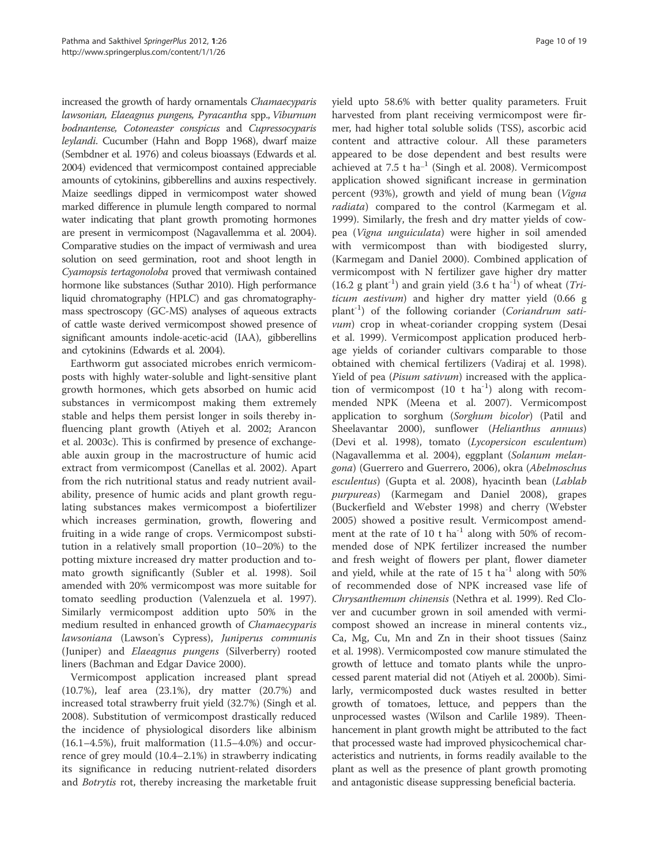increased the growth of hardy ornamentals Chamaecyparis lawsonian, Elaeagnus pungens, Pyracantha spp., Viburnum bodnantense, Cotoneaster conspicus and Cupressocyparis leylandi. Cucumber (Hahn and Bopp 1968), dwarf maize (Sembdner et al. 1976) and coleus bioassays (Edwards et al. 2004) evidenced that vermicompost contained appreciable amounts of cytokinins, gibberellins and auxins respectively. Maize seedlings dipped in vermicompost water showed marked difference in plumule length compared to normal water indicating that plant growth promoting hormones are present in vermicompost (Nagavallemma et al. 2004). Comparative studies on the impact of vermiwash and urea solution on seed germination, root and shoot length in Cyamopsis tertagonoloba proved that vermiwash contained hormone like substances (Suthar 2010). High performance liquid chromatography (HPLC) and gas chromatographymass spectroscopy (GC-MS) analyses of aqueous extracts of cattle waste derived vermicompost showed presence of significant amounts indole-acetic-acid (IAA), gibberellins and cytokinins (Edwards et al. 2004).

Earthworm gut associated microbes enrich vermicomposts with highly water-soluble and light-sensitive plant growth hormones, which gets absorbed on humic acid substances in vermicompost making them extremely stable and helps them persist longer in soils thereby influencing plant growth (Atiyeh et al. 2002; Arancon et al. 2003c). This is confirmed by presence of exchangeable auxin group in the macrostructure of humic acid extract from vermicompost (Canellas et al. 2002). Apart from the rich nutritional status and ready nutrient availability, presence of humic acids and plant growth regulating substances makes vermicompost a biofertilizer which increases germination, growth, flowering and fruiting in a wide range of crops. Vermicompost substitution in a relatively small proportion (10–20%) to the potting mixture increased dry matter production and tomato growth significantly (Subler et al. 1998). Soil amended with 20% vermicompost was more suitable for tomato seedling production (Valenzuela et al. 1997). Similarly vermicompost addition upto 50% in the medium resulted in enhanced growth of Chamaecyparis lawsoniana (Lawson's Cypress), Juniperus communis (Juniper) and Elaeagnus pungens (Silverberry) rooted liners (Bachman and Edgar Davice 2000).

Vermicompost application increased plant spread (10.7%), leaf area (23.1%), dry matter (20.7%) and increased total strawberry fruit yield (32.7%) (Singh et al. 2008). Substitution of vermicompost drastically reduced the incidence of physiological disorders like albinism (16.1–4.5%), fruit malformation (11.5–4.0%) and occurrence of grey mould (10.4–2.1%) in strawberry indicating its significance in reducing nutrient-related disorders and Botrytis rot, thereby increasing the marketable fruit yield upto 58.6% with better quality parameters. Fruit harvested from plant receiving vermicompost were firmer, had higher total soluble solids (TSS), ascorbic acid content and attractive colour. All these parameters appeared to be dose dependent and best results were achieved at  $7.5$  t ha<sup>-1</sup> (Singh et al. 2008). Vermicompost application showed significant increase in germination percent (93%), growth and yield of mung bean (Vigna radiata) compared to the control (Karmegam et al. 1999). Similarly, the fresh and dry matter yields of cowpea (Vigna unguiculata) were higher in soil amended with vermicompost than with biodigested slurry, (Karmegam and Daniel 2000). Combined application of vermicompost with N fertilizer gave higher dry matter (16.2 g plant<sup>-1</sup>) and grain yield (3.6 t ha<sup>-1</sup>) of wheat (*Tri*ticum aestivum) and higher dry matter yield (0.66 g plant<sup>-1</sup>) of the following coriander (*Coriandrum sati*vum) crop in wheat-coriander cropping system (Desai et al. 1999). Vermicompost application produced herbage yields of coriander cultivars comparable to those obtained with chemical fertilizers (Vadiraj et al. 1998). Yield of pea (Pisum sativum) increased with the application of vermicompost  $(10 \text{ t} \text{ ha}^{-1})$  along with recommended NPK (Meena et al. 2007). Vermicompost application to sorghum (Sorghum bicolor) (Patil and Sheelavantar 2000), sunflower (Helianthus annuus) (Devi et al. 1998), tomato (Lycopersicon esculentum) (Nagavallemma et al. 2004), eggplant (Solanum melangona) (Guerrero and Guerrero, 2006), okra (Abelmoschus esculentus) (Gupta et al. 2008), hyacinth bean (Lablab purpureas) (Karmegam and Daniel 2008), grapes (Buckerfield and Webster 1998) and cherry (Webster 2005) showed a positive result. Vermicompost amendment at the rate of 10 t ha<sup>-1</sup> along with 50% of recommended dose of NPK fertilizer increased the number and fresh weight of flowers per plant, flower diameter and yield, while at the rate of  $15$  t ha<sup>-1</sup> along with  $50\%$ of recommended dose of NPK increased vase life of Chrysanthemum chinensis (Nethra et al. 1999). Red Clover and cucumber grown in soil amended with vermicompost showed an increase in mineral contents viz., Ca, Mg, Cu, Mn and Zn in their shoot tissues (Sainz et al. 1998). Vermicomposted cow manure stimulated the growth of lettuce and tomato plants while the unprocessed parent material did not (Atiyeh et al. 2000b). Similarly, vermicomposted duck wastes resulted in better growth of tomatoes, lettuce, and peppers than the unprocessed wastes (Wilson and Carlile 1989). Theenhancement in plant growth might be attributed to the fact that processed waste had improved physicochemical characteristics and nutrients, in forms readily available to the plant as well as the presence of plant growth promoting and antagonistic disease suppressing beneficial bacteria.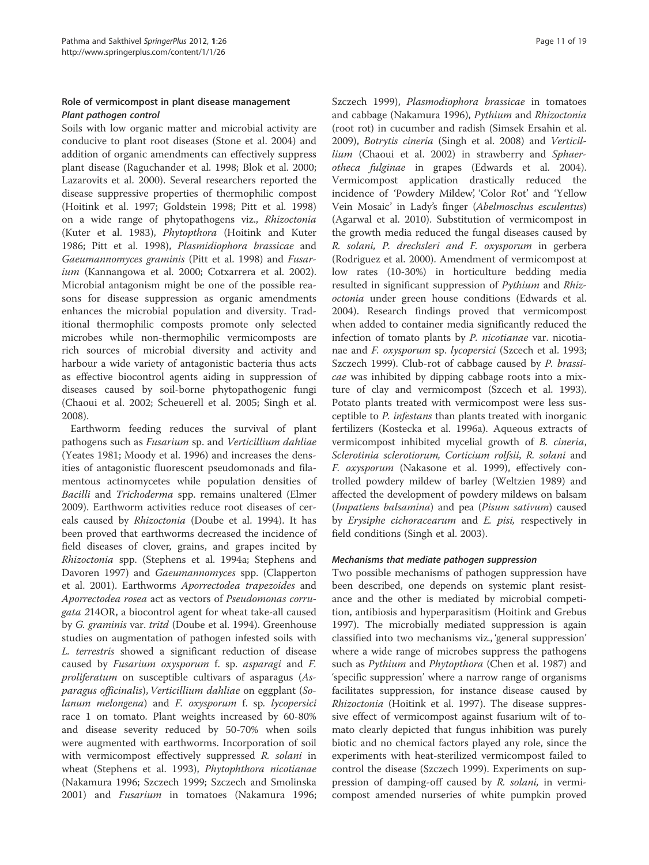# Role of vermicompost in plant disease management Plant pathogen control

Soils with low organic matter and microbial activity are conducive to plant root diseases (Stone et al. 2004) and addition of organic amendments can effectively suppress plant disease (Raguchander et al. 1998; Blok et al. 2000; Lazarovits et al. 2000). Several researchers reported the disease suppressive properties of thermophilic compost (Hoitink et al. 1997; Goldstein 1998; Pitt et al. 1998) on a wide range of phytopathogens viz., Rhizoctonia (Kuter et al. 1983), Phytopthora (Hoitink and Kuter 1986; Pitt et al. 1998), Plasmidiophora brassicae and Gaeumannomyces graminis (Pitt et al. 1998) and Fusarium (Kannangowa et al. 2000; Cotxarrera et al. 2002). Microbial antagonism might be one of the possible reasons for disease suppression as organic amendments enhances the microbial population and diversity. Traditional thermophilic composts promote only selected microbes while non-thermophilic vermicomposts are rich sources of microbial diversity and activity and harbour a wide variety of antagonistic bacteria thus acts as effective biocontrol agents aiding in suppression of diseases caused by soil-borne phytopathogenic fungi (Chaoui et al. 2002; Scheuerell et al. 2005; Singh et al. 2008).

Earthworm feeding reduces the survival of plant pathogens such as Fusarium sp. and Verticillium dahliae (Yeates 1981; Moody et al. 1996) and increases the densities of antagonistic fluorescent pseudomonads and filamentous actinomycetes while population densities of Bacilli and Trichoderma spp. remains unaltered (Elmer 2009). Earthworm activities reduce root diseases of cereals caused by Rhizoctonia (Doube et al. 1994). It has been proved that earthworms decreased the incidence of field diseases of clover, grains, and grapes incited by Rhizoctonia spp. (Stephens et al. 1994a; Stephens and Davoren 1997) and *Gaeumannomyces* spp. (Clapperton et al. 2001). Earthworms Aporrectodea trapezoides and Aporrectodea rosea act as vectors of Pseudomonas corrugata 214OR, a biocontrol agent for wheat take-all caused by G. graminis var. tritd (Doube et al. 1994). Greenhouse studies on augmentation of pathogen infested soils with L. terrestris showed a significant reduction of disease caused by Fusarium oxysporum f. sp. asparagi and F. proliferatum on susceptible cultivars of asparagus (Asparagus officinalis), Verticillium dahliae on eggplant (Solanum melongena) and F. oxysporum f. sp. lycopersici race 1 on tomato. Plant weights increased by 60-80% and disease severity reduced by 50-70% when soils were augmented with earthworms. Incorporation of soil with vermicompost effectively suppressed R. solani in wheat (Stephens et al. 1993), Phytophthora nicotianae (Nakamura 1996; Szczech 1999; Szczech and Smolinska 2001) and Fusarium in tomatoes (Nakamura 1996; Szczech 1999), Plasmodiophora brassicae in tomatoes and cabbage (Nakamura 1996), Pythium and Rhizoctonia (root rot) in cucumber and radish (Simsek Ersahin et al. 2009), Botrytis cineria (Singh et al. 2008) and Verticillium (Chaoui et al. 2002) in strawberry and Sphaerotheca fulginae in grapes (Edwards et al. 2004). Vermicompost application drastically reduced the incidence of 'Powdery Mildew', 'Color Rot' and 'Yellow Vein Mosaic' in Lady's finger (Abelmoschus esculentus) (Agarwal et al. 2010). Substitution of vermicompost in the growth media reduced the fungal diseases caused by R. solani, P. drechsleri and F. oxysporum in gerbera (Rodriguez et al. 2000). Amendment of vermicompost at low rates (10-30%) in horticulture bedding media resulted in significant suppression of Pythium and Rhizoctonia under green house conditions (Edwards et al. 2004). Research findings proved that vermicompost when added to container media significantly reduced the infection of tomato plants by  $P$ . nicotianae var. nicotianae and F. oxysporum sp. lycopersici (Szcech et al. 1993; Szczech 1999). Club-rot of cabbage caused by P. brassicae was inhibited by dipping cabbage roots into a mixture of clay and vermicompost (Szcech et al. 1993). Potato plants treated with vermicompost were less susceptible to P. infestans than plants treated with inorganic fertilizers (Kostecka et al. 1996a). Aqueous extracts of vermicompost inhibited mycelial growth of B. cineria, Sclerotinia sclerotiorum, Corticium rolfsii, R. solani and F. oxysporum (Nakasone et al. 1999), effectively controlled powdery mildew of barley (Weltzien 1989) and affected the development of powdery mildews on balsam (Impatiens balsamina) and pea (Pisum sativum) caused by *Erysiphe cichoracearum* and *E. pisi*, respectively in field conditions (Singh et al. 2003).

# Mechanisms that mediate pathogen suppression

Two possible mechanisms of pathogen suppression have been described, one depends on systemic plant resistance and the other is mediated by microbial competition, antibiosis and hyperparasitism (Hoitink and Grebus 1997). The microbially mediated suppression is again classified into two mechanisms viz., 'general suppression' where a wide range of microbes suppress the pathogens such as *Pythium* and *Phytopthora* (Chen et al. 1987) and 'specific suppression' where a narrow range of organisms facilitates suppression, for instance disease caused by Rhizoctonia (Hoitink et al. 1997). The disease suppressive effect of vermicompost against fusarium wilt of tomato clearly depicted that fungus inhibition was purely biotic and no chemical factors played any role, since the experiments with heat-sterilized vermicompost failed to control the disease (Szczech 1999). Experiments on suppression of damping-off caused by R. solani, in vermicompost amended nurseries of white pumpkin proved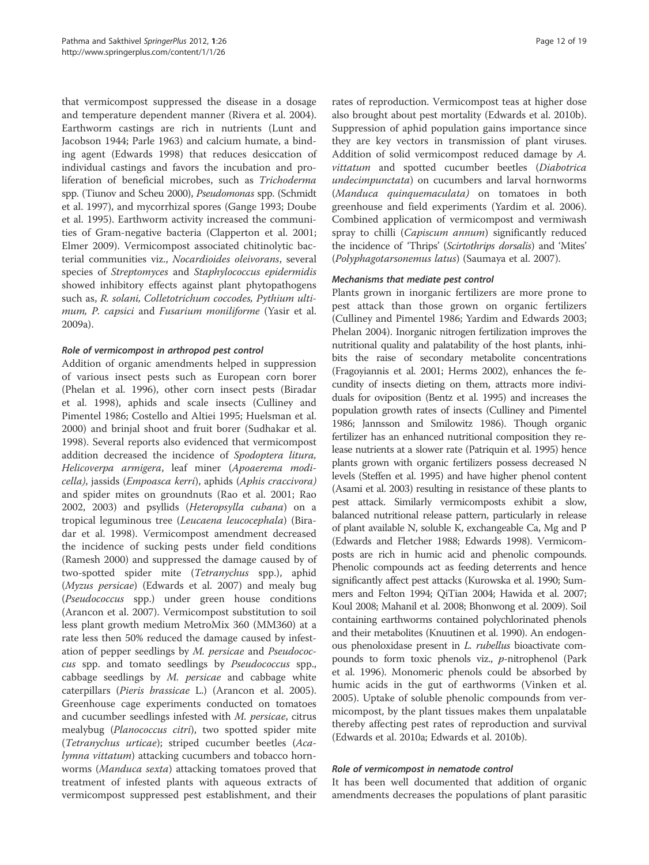that vermicompost suppressed the disease in a dosage and temperature dependent manner (Rivera et al. 2004). Earthworm castings are rich in nutrients (Lunt and Jacobson 1944; Parle 1963) and calcium humate, a binding agent (Edwards 1998) that reduces desiccation of individual castings and favors the incubation and proliferation of beneficial microbes, such as Trichoderma spp. (Tiunov and Scheu 2000), Pseudomonas spp. (Schmidt et al. 1997), and mycorrhizal spores (Gange 1993; Doube et al. 1995). Earthworm activity increased the communities of Gram-negative bacteria (Clapperton et al. 2001; Elmer 2009). Vermicompost associated chitinolytic bacterial communities viz., Nocardioides oleivorans, several species of Streptomyces and Staphylococcus epidermidis showed inhibitory effects against plant phytopathogens such as, R. solani, Colletotrichum coccodes, Pythium ultimum, P. capsici and Fusarium moniliforme (Yasir et al. 2009a).

# Role of vermicompost in arthropod pest control

Addition of organic amendments helped in suppression of various insect pests such as European corn borer (Phelan et al. 1996), other corn insect pests (Biradar et al. 1998), aphids and scale insects (Culliney and Pimentel 1986; Costello and Altiei 1995; Huelsman et al. 2000) and brinjal shoot and fruit borer (Sudhakar et al. 1998). Several reports also evidenced that vermicompost addition decreased the incidence of Spodoptera litura, Helicoverpa armigera, leaf miner (Apoaerema modicella), jassids (Empoasca kerri), aphids (Aphis craccivora) and spider mites on groundnuts (Rao et al. 2001; Rao 2002, 2003) and psyllids (Heteropsylla cubana) on a tropical leguminous tree (Leucaena leucocephala) (Biradar et al. 1998). Vermicompost amendment decreased the incidence of sucking pests under field conditions (Ramesh 2000) and suppressed the damage caused by of two-spotted spider mite (Tetranychus spp.), aphid (Myzus persicae) (Edwards et al. 2007) and mealy bug (Pseudococcus spp.) under green house conditions (Arancon et al. 2007). Vermicompost substitution to soil less plant growth medium MetroMix 360 (MM360) at a rate less then 50% reduced the damage caused by infestation of pepper seedlings by M. persicae and Pseudococcus spp. and tomato seedlings by Pseudococcus spp., cabbage seedlings by  $M$ .  $persicae$  and cabbage white caterpillars (Pieris brassicae L.) (Arancon et al. 2005). Greenhouse cage experiments conducted on tomatoes and cucumber seedlings infested with M. persicae, citrus mealybug (Planococcus citri), two spotted spider mite (Tetranychus urticae); striped cucumber beetles (Acalymna vittatum) attacking cucumbers and tobacco hornworms (Manduca sexta) attacking tomatoes proved that treatment of infested plants with aqueous extracts of vermicompost suppressed pest establishment, and their

rates of reproduction. Vermicompost teas at higher dose also brought about pest mortality (Edwards et al. 2010b). Suppression of aphid population gains importance since they are key vectors in transmission of plant viruses. Addition of solid vermicompost reduced damage by A. vittatum and spotted cucumber beetles (Diabotrica undecimpunctata) on cucumbers and larval hornworms (Manduca quinquemaculata) on tomatoes in both greenhouse and field experiments (Yardim et al. 2006). Combined application of vermicompost and vermiwash spray to chilli (Capiscum annum) significantly reduced the incidence of 'Thrips' (Scirtothrips dorsalis) and 'Mites' (Polyphagotarsonemus latus) (Saumaya et al. 2007).

# Mechanisms that mediate pest control

Plants grown in inorganic fertilizers are more prone to pest attack than those grown on organic fertilizers (Culliney and Pimentel 1986; Yardim and Edwards 2003; Phelan 2004). Inorganic nitrogen fertilization improves the nutritional quality and palatability of the host plants, inhibits the raise of secondary metabolite concentrations (Fragoyiannis et al. 2001; Herms 2002), enhances the fecundity of insects dieting on them, attracts more individuals for oviposition (Bentz et al. 1995) and increases the population growth rates of insects (Culliney and Pimentel 1986; Jannsson and Smilowitz 1986). Though organic fertilizer has an enhanced nutritional composition they release nutrients at a slower rate (Patriquin et al. 1995) hence plants grown with organic fertilizers possess decreased N levels (Steffen et al. 1995) and have higher phenol content (Asami et al. 2003) resulting in resistance of these plants to pest attack. Similarly vermicomposts exhibit a slow, balanced nutritional release pattern, particularly in release of plant available N, soluble K, exchangeable Ca, Mg and P (Edwards and Fletcher 1988; Edwards 1998). Vermicomposts are rich in humic acid and phenolic compounds. Phenolic compounds act as feeding deterrents and hence significantly affect pest attacks (Kurowska et al. 1990; Summers and Felton 1994; QiTian 2004; Hawida et al. 2007; Koul 2008; Mahanil et al. 2008; Bhonwong et al. 2009). Soil containing earthworms contained polychlorinated phenols and their metabolites (Knuutinen et al. 1990). An endogenous phenoloxidase present in L. rubellus bioactivate compounds to form toxic phenols viz., p-nitrophenol (Park et al. 1996). Monomeric phenols could be absorbed by humic acids in the gut of earthworms (Vinken et al. 2005). Uptake of soluble phenolic compounds from vermicompost, by the plant tissues makes them unpalatable thereby affecting pest rates of reproduction and survival (Edwards et al. 2010a; Edwards et al. 2010b).

# Role of vermicompost in nematode control

It has been well documented that addition of organic amendments decreases the populations of plant parasitic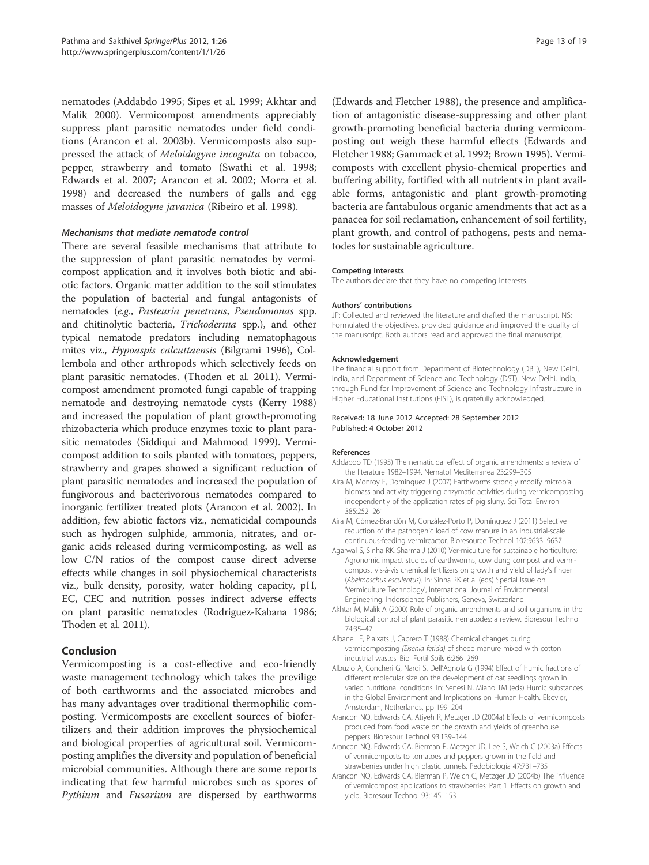nematodes (Addabdo 1995; Sipes et al. 1999; Akhtar and Malik 2000). Vermicompost amendments appreciably suppress plant parasitic nematodes under field conditions (Arancon et al. 2003b). Vermicomposts also suppressed the attack of Meloidogyne incognita on tobacco, pepper, strawberry and tomato (Swathi et al. 1998; Edwards et al. 2007; Arancon et al. 2002; Morra et al. 1998) and decreased the numbers of galls and egg masses of Meloidogyne javanica (Ribeiro et al. 1998).

#### Mechanisms that mediate nematode control

There are several feasible mechanisms that attribute to the suppression of plant parasitic nematodes by vermicompost application and it involves both biotic and abiotic factors. Organic matter addition to the soil stimulates the population of bacterial and fungal antagonists of nematodes (e.g., Pasteuria penetrans, Pseudomonas spp. and chitinolytic bacteria, Trichoderma spp.), and other typical nematode predators including nematophagous mites viz., Hypoaspis calcuttaensis (Bilgrami 1996), Collembola and other arthropods which selectively feeds on plant parasitic nematodes. (Thoden et al. 2011). Vermicompost amendment promoted fungi capable of trapping nematode and destroying nematode cysts (Kerry 1988) and increased the population of plant growth-promoting rhizobacteria which produce enzymes toxic to plant parasitic nematodes (Siddiqui and Mahmood 1999). Vermicompost addition to soils planted with tomatoes, peppers, strawberry and grapes showed a significant reduction of plant parasitic nematodes and increased the population of fungivorous and bacterivorous nematodes compared to inorganic fertilizer treated plots (Arancon et al. 2002). In addition, few abiotic factors viz., nematicidal compounds such as hydrogen sulphide, ammonia, nitrates, and organic acids released during vermicomposting, as well as low C/N ratios of the compost cause direct adverse effects while changes in soil physiochemical characterists viz., bulk density, porosity, water holding capacity, pH, EC, CEC and nutrition posses indirect adverse effects on plant parasitic nematodes (Rodriguez-Kabana 1986; Thoden et al. 2011).

# Conclusion

Vermicomposting is a cost-effective and eco-friendly waste management technology which takes the previlige of both earthworms and the associated microbes and has many advantages over traditional thermophilic composting. Vermicomposts are excellent sources of biofertilizers and their addition improves the physiochemical and biological properties of agricultural soil. Vermicomposting amplifies the diversity and population of beneficial microbial communities. Although there are some reports indicating that few harmful microbes such as spores of Pythium and Fusarium are dispersed by earthworms

(Edwards and Fletcher 1988), the presence and amplification of antagonistic disease-suppressing and other plant growth-promoting beneficial bacteria during vermicomposting out weigh these harmful effects (Edwards and Fletcher 1988; Gammack et al. 1992; Brown 1995). Vermicomposts with excellent physio-chemical properties and buffering ability, fortified with all nutrients in plant available forms, antagonistic and plant growth-promoting bacteria are fantabulous organic amendments that act as a panacea for soil reclamation, enhancement of soil fertility, plant growth, and control of pathogens, pests and nematodes for sustainable agriculture.

#### Competing interests

The authors declare that they have no competing interests.

#### Authors' contributions

JP: Collected and reviewed the literature and drafted the manuscript. NS: Formulated the objectives, provided guidance and improved the quality of the manuscript. Both authors read and approved the final manuscript.

#### Acknowledgement

The financial support from Department of Biotechnology (DBT), New Delhi, India, and Department of Science and Technology (DST), New Delhi, India, through Fund for Improvement of Science and Technology Infrastructure in Higher Educational Institutions (FIST), is gratefully acknowledged.

#### Received: 18 June 2012 Accepted: 28 September 2012 Published: 4 October 2012

#### References

- Addabdo TD (1995) The nematicidal effect of organic amendments: a review of the literature 1982–1994. Nematol Mediterranea 23:299–305
- Aira M, Monroy F, Dominguez J (2007) Earthworms strongly modify microbial biomass and activity triggering enzymatic activities during vermicomposting independently of the application rates of pig slurry. Sci Total Environ 385:252–261
- Aira M, Gómez-Brandón M, González-Porto P, Domínguez J (2011) Selective reduction of the pathogenic load of cow manure in an industrial-scale continuous-feeding vermireactor. Bioresource Technol 102:9633–9637
- Agarwal S, Sinha RK, Sharma J (2010) Ver-miculture for sustainable horticulture: Agronomic impact studies of earthworms, cow dung compost and vermicompost vis-à-vis chemical fertilizers on growth and yield of lady's finger (Abelmoschus esculentus). In: Sinha RK et al (eds) Special Issue on 'Vermiculture Technology', International Journal of Environmental Engineering. Inderscience Publishers, Geneva, Switzerland
- Akhtar M, Malik A (2000) Role of organic amendments and soil organisms in the biological control of plant parasitic nematodes: a review. Bioresour Technol 74:35–47
- Albanell E, Plaixats J, Cabrero T (1988) Chemical changes during vermicomposting (Eisenia fetida) of sheep manure mixed with cotton industrial wastes. Biol Fertil Soils 6:266–269
- Albuzio A, Concheri G, Nardi S, Dell'Agnola G (1994) Effect of humic fractions of different molecular size on the development of oat seedlings grown in varied nutritional conditions. In: Senesi N, Miano TM (eds) Humic substances in the Global Environment and Implications on Human Health. Elsevier, Amsterdam, Netherlands, pp 199–204
- Arancon NQ, Edwards CA, Atiyeh R, Metzger JD (2004a) Effects of vermicomposts produced from food waste on the growth and yields of greenhouse peppers. Bioresour Technol 93:139–144
- Arancon NQ, Edwards CA, Bierman P, Metzger JD, Lee S, Welch C (2003a) Effects of vermicomposts to tomatoes and peppers grown in the field and strawberries under high plastic tunnels. Pedobiologia 47:731–735
- Arancon NQ, Edwards CA, Bierman P, Welch C, Metzger JD (2004b) The influence of vermicompost applications to strawberries: Part 1. Effects on growth and yield. Bioresour Technol 93:145–153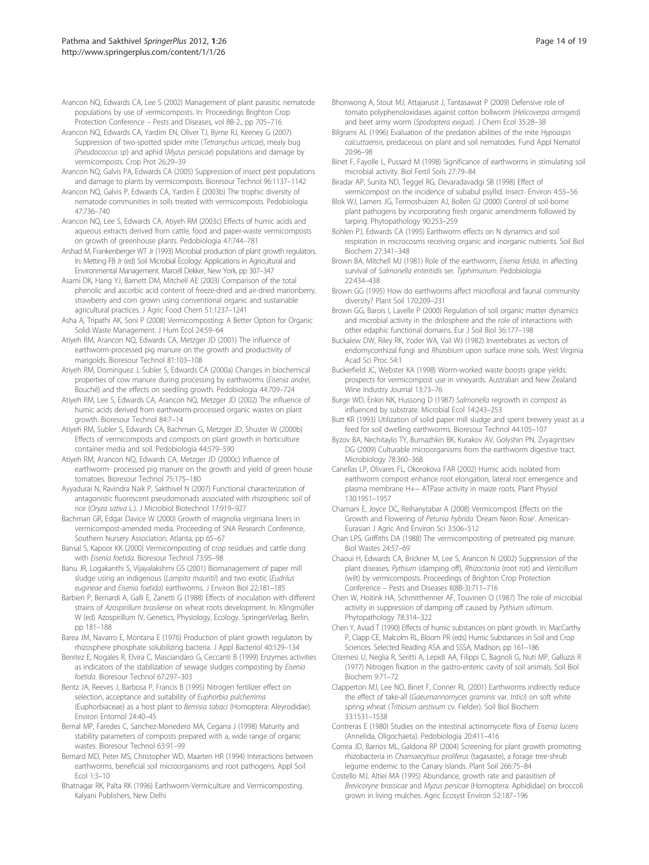- Arancon NQ, Edwards CA, Lee S (2002) Management of plant parasitic nematode populations by use of vermicomposts. In: Proceedings Brighton Crop Protection Conference – Pests and Diseases, vol 8B-2., pp 705–716
- Arancon NQ, Edwards CA, Yardim EN, Oliver TJ, Byrne RJ, Keeney G (2007) Suppression of two-spotted spider mite (Tetranychus urticae), mealy bug (Pseudococcus sp) and aphid (Myzus persicae) populations and damage by vermicomposts. Crop Prot 26:29–39
- Arancon NQ, Galvis PA, Edwards CA (2005) Suppression of insect pest populations and damage to plants by vermicomposts. Bioresour Technol 96:1137–1142
- Arancon NQ, Galvis P, Edwards CA, Yardim E (2003b) The trophic diversity of nematode communities in soils treated with vermicomposts. Pedobiologia 47:736–740
- Arancon NQ, Lee S, Edwards CA, Atiyeh RM (2003c) Effects of humic acids and aqueous extracts derived from cattle, food and paper-waste vermicomposts on growth of greenhouse plants. Pedobiologia 47:744–781
- Arshad M, Frankenberger WT Jr (1993) Microbial production of plant growth regulators. In: Metting FB Jr (ed) Soil Microbial Ecology: Applications in Agricultural and Environmental Management. Marcell Dekker, New York, pp 307–347
- Asami DK, Hang YJ, Barnett DM, Mitchell AE (2003) Comparison of the total phenolic and ascorbic acid content of freeze-dried and air-dried marionberry, strawberry and corn grown using conventional organic and sustainable agricultural practices. J Agric Food Chem 51:1237–1241
- Asha A, Tripathi AK, Soni P (2008) Vermicomposting: A Better Option for Organic Solid Waste Management. J Hum Ecol 24:59–64
- Atiyeh RM, Arancon NQ, Edwards CA, Metzger JD (2001) The influence of earthworm-processed pig manure on the growth and productivity of marigolds. Bioresour Technol 81:103–108
- Atiyeh RM, Dominguez J, Subler S, Edwards CA (2000a) Changes in biochemical properties of cow manure during processing by earthworms (Eisenia andrei, Bouché) and the effects on seedling growth. Pedobiologia 44:709–724
- Atiyeh RM, Lee S, Edwards CA, Arancon NQ, Metzger JD (2002) The influence of humic acids derived from earthworm-processed organic wastes on plant growth. Bioresour Technol 84:7–14
- Atiyeh RM, Subler S, Edwards CA, Bachman G, Metzger JD, Shuster W (2000b) Effects of vermicomposts and composts on plant growth in horticulture container media and soil. Pedobiologia 44:579–590
- Atiyeh RM, Arancon NQ, Edwards CA, Metzger JD (2000c) Influence of earthworm- processed pig manure on the growth and yield of green house tomatoes. Bioresour Technol 75:175–180
- Ayyadurai N, Ravindra Naik P, Sakthivel N (2007) Functional characterization of antagonistic fluorescent pseudomonads associated with rhizospheric soil of rice (Oryza sativa L.). J Microbiol Biotechnol 17:919–927
- Bachman GR, Edgar Davice W (2000) Growth of magnolia virginiana liners in vermicompost-amended media. Proceeding of SNA Research Conference, Southern Nursery Association, Atlanta, pp 65–67
- Bansal S, Kapoor KK (2000) Vermicomposting of crop residues and cattle dung with Eisenia foetida. Bioresour Technol 73:95–98
- Banu JR, Logakanthi S, Vijayalakshmi GS (2001) Biomanagement of paper mill sludge using an indigenous (Lampito mauritii) and two exotic (Eudrilus eugineae and Eisenia foetida) earthworms. J Environ Biol 22:181–185
- Barbieri P, Bernardi A, Galli E, Zanetti G (1988) Effects of inoculation with different strains of Azospirillum brasilense on wheat roots development. In: Klingmüller W (ed) Azospirillum IV, Genetics, Physiology, Ecology. SpringerVerlag, Berlin, pp 181–188
- Barea JM, Navarro E, Montana E (1976) Production of plant growth regulators by rhizosphere phosphate solubilizing bacteria. J Appl Bacteriol 40:129–134
- Benitez E, Nogales R, Elvira C, Masciandaro G, Ceccanti B (1999) Enzymes activities as indicators of the stabilization of sewage sludges composting by Eisenia foetida. Bioresour Technol 67:297–303
- Bentz JA, Reeves J, Barbosa P, Francis B (1995) Nitrogen fertilizer effect on selection, acceptance and suitability of Euphorbia pulcherrima (Euphorbiaceae) as a host plant to Bemisia tabaci (Homoptera: Aleyrodidae). Environ Entomol 24:40–45
- Bernal MP, Faredes C, Sanchez-Monedero MA, Cegarra J (1998) Maturity and stability parameters of composts prepared with a, wide range of organic wastes. Bioresour Technol 63:91–99
- Bernard MD, Peter MS, Christopher WD, Maarten HR (1994) Interactions between earthworms, beneficial soil microorganisms and root pathogens. Appl Soil Ecol 1:3–10
- Bhatnagar RK, Palta RK (1996) Earthworm-Vermiculture and Vermicomposting. Kalyani Publishers, New Delhi
- Bhonwong A, Stout MJ, Attajarusit J, Tantasawat P (2009) Defensive role of tomato polyphenoloxidases against cotton bollworm (Helicoverpa armigera) and beet army worm (Spodoptera exigua). J Chem Ecol 35:28–38
- Bilgrami AL (1996) Evaluation of the predation abilities of the mite Hypoaspis calcuttaensis, predaceous on plant and soil nematodes. Fund Appl Nematol 20:96–98
- Binet F, Fayolle L, Pussard M (1998) Significance of earthworms in stimulating soil microbial activity. Biol Fertil Soils 27:79–84
- Biradar AP, Sunita ND, Teggel RG, Devaradavadgi SB (1998) Effect of vermicompost on the incidence of subabul psyllid. Insect- Environ 4:55–56
- Blok WJ, Lamers JG, Termoshuizen AJ, Bollen GJ (2000) Control of soil-borne plant pathogens by incorporating fresh organic amendments followed by tarping. Phytopathology 90:253–259
- Bohlen PJ, Edwards CA (1995) Earthworm effects on N dynamics and soil respiration in microcosms receiving organic and inorganic nutrients. Soil Biol Biochem 27:341–348
- Brown BA, Mitchell MJ (1981) Role of the earthworm, Eisenia fetida, in affecting survival of Salmonella enteritidis ser. Typhimurium. Pedobiologia 22:434–438
- Brown GG (1995) How do earthworms affect microfloral and faunal community diversity? Plant Soil 170:209–231
- Brown GG, Barois I, Lavelle P (2000) Regulation of soil organic matter dynamics and microbial activity in the drilosphere and the role of interactions with other edaphic functional domains. Eur J Soil Biol 36:177–198
- Buckalew DW, Riley RK, Yoder WA, Vail WJ (1982) Invertebrates as vectors of endomycorrhizal fungi and Rhizobium upon surface mine soils. West Virginia Acad Sci Proc 54:1
- Buckerfield JC, Webster KA (1998) Worm-worked waste boosts grape yields: prospects for vermicompost use in vineyards. Australian and New Zealand Wine Industry Journal 13:73–76
- Burge WD, Enkiri NK, Hussong D (1987) Salmonella regrowth in compost as influenced by substrate. Microbial Ecol 14:243–253
- Butt KR (1993) Utilization of solid paper mill sludge and spent brewery yeast as a feed for soil dwelling earthworms. Bioresour Technol 44:105–107
- Byzov BA, Nechitaylo TY, Bumazhkin BK, Kurakov AV, Golyshin PN, Zvyagintsev DG (2009) Culturable microorganisms from the earthworm digestive tract. Microbiology 78:360–368
- Canellas LP, Olivares FL, Okorokova FAR (2002) Humic acids isolated from earthworm compost enhance root elongation, lateral root emergence and plasma membrane H+− ATPase activity in maize roots. Plant Physiol 130:1951–1957
- Chamani E, Joyce DC, Reihanytabar A (2008) Vermicompost Effects on the Growth and Flowering of Petunia hybrida 'Dream Neon Rose'. American-Eurasian J Agric And Environ Sci 3:506–512
- Chan LPS, Griffiths DA (1988) The vermicomposting of pretreated pig manure. Biol Wastes 24:57–69
- Chaoui H, Edwards CA, Brickner M, Lee S, Arancon N (2002) Suppression of the plant diseases, Pythium (damping off), Rhizoctonia (root rot) and Verticillum (wilt) by vermicomposts. Proceedings of Brighton Crop Protection Conference – Pests and Diseases II(8B-3):711–716
- Chen W, Hoitink HA, Schmitthenner AF, Touvinen O (1987) The role of microbial activity in suppression of damping off caused by Pythium ultimum. Phytopathology 78:314–322
- Chen Y, Aviad T (1990) Effects of humic substances on plant growth. In: MacCarthy P, Clapp CE, Malcolm RL, Bloom PR (eds) Humic Substances in Soil and Crop Sciences. Selected Reading ASA and SSSA, Madison, pp 161–186
- Citernesi U, Neglia R, Seritti A, Lepidi AA, Filippi C, Bagnoli G, Nuti MP, Galluzzi R (1977) Nitrogen fixation in the gastro-enteric cavity of soil animals. Soil Biol Biochem 9:71–72
- Clapperton MJ, Lee NO, Binet F, Conner RL (2001) Earthworms indirectly reduce the effect of take-all (Gaeumannomyces graminis var. tritici) on soft white spring wheat (Triticium aestivum cv. Fielder). Soil Biol Biochem 33:1531–1538
- Contreras E (1980) Studies on the intestinal actinomycete flora of Eisenia lucens (Annelida, Oligochaeta). Pedobiologia 20:411–416
- Correa JD, Barrios ML, Galdona RP (2004) Screening for plant growth promoting rhizobacteria in Chamaecytisus proliferus (tagasaste), a forage tree-shrub legume endemic to the Canary Islands. Plant Soil 266:75–84
- Costello MJ, Altiei MA (1995) Abundance, growth rate and parasitism of Brevicoryne brassicae and Myzus persicae (Homoptera: Aphididae) on broccoli grown in living mulches. Agric Ecosyst Environ 52:187–196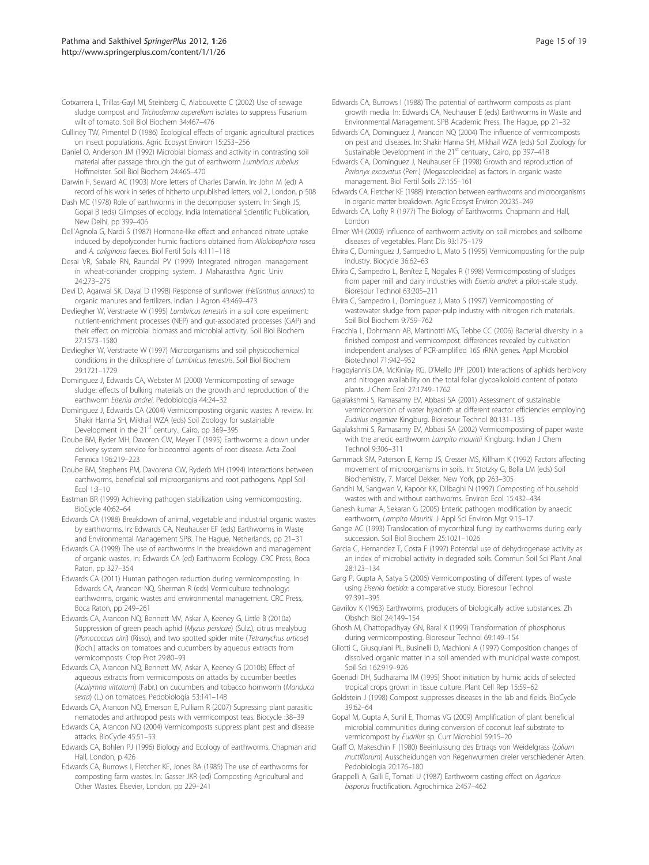- Cotxarrera L, Trillas-Gayl MI, Steinberg C, Alabouvette C (2002) Use of sewage sludge compost and Trichoderma asperellum isolates to suppress Fusarium wilt of tomato. Soil Biol Biochem 34:467–476
- Culliney TW, Pimentel D (1986) Ecological effects of organic agricultural practices on insect populations. Agric Ecosyst Environ 15:253–256
- Daniel O, Anderson JM (1992) Microbial biomass and activity in contrasting soil material after passage through the gut of earthworm Lumbricus rubellus Hoffmeister. Soil Biol Biochem 24:465–470
- Darwin F, Seward AC (1903) More letters of Charles Darwin. In: John M (ed) A record of his work in series of hitherto unpublished letters, vol 2., London, p 508
- Dash MC (1978) Role of earthworms in the decomposer system. In: Singh JS, Gopal B (eds) Glimpses of ecology. India International Scientific Publication, New Delhi, pp 399–406
- Dell'Agnola G, Nardi S (1987) Hormone-like effect and enhanced nitrate uptake induced by depolyconder humic fractions obtained from Allolobophora rosea and A. caliginosa faeces. Biol Fertil Soils 4:111–118
- Desai VR, Sabale RN, Raundal PV (1999) Integrated nitrogen management in wheat-coriander cropping system. J Maharasthra Agric Univ 24:273–275
- Devi D, Agarwal SK, Dayal D (1998) Response of sunflower (Helianthus annuus) to organic manures and fertilizers. Indian J Agron 43:469–473
- Devliegher W, Verstraete W (1995) Lumbricus terrestris in a soil core experiment: nutrient-enrichment processes (NEP) and gut-associated processes (GAP) and their effect on microbial biomass and microbial activity. Soil Biol Biochem 27:1573–1580
- Devliegher W, Verstraete W (1997) Microorganisms and soil physicochemical conditions in the drilosphere of Lumbricus terrestris. Soil Biol Biochem 29:1721–1729
- Dominguez J, Edwards CA, Webster M (2000) Vermicomposting of sewage sludge: effects of bulking materials on the growth and reproduction of the earthworm Eisenia andrei. Pedobiologia 44:24–32
- Dominguez J, Edwards CA (2004) Vermicomposting organic wastes: A review. In: Shakir Hanna SH, Mikhail WZA (eds) Soil Zoology for sustainable Development in the 21<sup>st</sup> century., Cairo, pp 369-395
- Doube BM, Ryder MH, Davoren CW, Meyer T (1995) Earthworms: a down under delivery system service for biocontrol agents of root disease. Acta Zool Fennica 196:219–223
- Doube BM, Stephens PM, Davorena CW, Ryderb MH (1994) Interactions between earthworms, beneficial soil microorganisms and root pathogens. Appl Soil Ecol 1:3–10
- Eastman BR (1999) Achieving pathogen stabilization using vermicomposting. BioCycle 40:62–64
- Edwards CA (1988) Breakdown of animal, vegetable and industrial organic wastes by earthworms. In: Edwards CA, Neuhauser EF (eds) Earthworms in Waste and Environmental Management SPB. The Hague, Netherlands, pp 21–31
- Edwards CA (1998) The use of earthworms in the breakdown and management of organic wastes. In: Edwards CA (ed) Earthworm Ecology. CRC Press, Boca Raton, pp 327–354
- Edwards CA (2011) Human pathogen reduction during vermicomposting. In: Edwards CA, Arancon NQ, Sherman R (eds) Vermiculture technology: earthworms, organic wastes and environmental management. CRC Press, Boca Raton, pp 249–261
- Edwards CA, Arancon NQ, Bennett MV, Askar A, Keeney G, Little B (2010a) Suppression of green peach aphid (Myzus persicae) (Sulz.), citrus mealybug (Planococcus citri) (Risso), and two spotted spider mite (Tetranychus urticae) (Koch.) attacks on tomatoes and cucumbers by aqueous extracts from vermicomposts. Crop Prot 29:80–93
- Edwards CA, Arancon NQ, Bennett MV, Askar A, Keeney G (2010b) Effect of aqueous extracts from vermicomposts on attacks by cucumber beetles (Acalymna vittatum) (Fabr.) on cucumbers and tobacco hornworm (Manduca sexta) (L.) on tomatoes. Pedobiologia 53:141–148
- Edwards CA, Arancon NQ, Emerson E, Pulliam R (2007) Supressing plant parasitic nematodes and arthropod pests with vermicompost teas. Biocycle :38–39
- Edwards CA, Arancon NQ (2004) Vermicomposts suppress plant pest and disease attacks. BioCycle 45:51–53
- Edwards CA, Bohlen PJ (1996) Biology and Ecology of earthworms. Chapman and Hall, London, p 426
- Edwards CA, Burrows I, Fletcher KE, Jones BA (1985) The use of earthworms for composting farm wastes. In: Gasser JKR (ed) Composting Agricultural and Other Wastes. Elsevier, London, pp 229–241
- Edwards CA, Burrows I (1988) The potential of earthworm composts as plant growth media. In: Edwards CA, Neuhauser E (eds) Earthworms in Waste and Environmental Management. SPB Academic Press, The Hague, pp 21–32
- Edwards CA, Dominguez J, Arancon NQ (2004) The influence of vermicomposts on pest and diseases. In: Shakir Hanna SH, Mikhail WZA (eds) Soil Zoology for Sustainable Development in the 21<sup>st</sup> centuary., Cairo, pp 397-418
- Edwards CA, Dominguez J, Neuhauser EF (1998) Growth and reproduction of Perionyx excavatus (Perr.) (Megascolecidae) as factors in organic waste management. Biol Fertil Soils 27:155–161
- Edwards CA, Fletcher KE (1988) Interaction between earthworms and microorganisms in organic matter breakdown. Agric Ecosyst Environ 20:235–249
- Edwards CA, Lofty R (1977) The Biology of Earthworms. Chapmann and Hall, London
- Elmer WH (2009) Influence of earthworm activity on soil microbes and soilborne diseases of vegetables. Plant Dis 93:175–179
- Elvira C, Dominguez J, Sampedro L, Mato S (1995) Vermicomposting for the pulp industry. Biocycle 36:62–63
- Elvira C, Sampedro L, Benítez E, Nogales R (1998) Vermicomposting of sludges from paper mill and dairy industries with Eisenia andrei: a pilot-scale study. Bioresour Technol 63:205–211
- Elvira C, Sampedro L, Dominguez J, Mato S (1997) Vermicomposting of wastewater sludge from paper-pulp industry with nitrogen rich materials. Soil Biol Biochem 9:759–762
- Fracchia L, Dohrmann AB, Martinotti MG, Tebbe CC (2006) Bacterial diversity in a finished compost and vermicompost: differences revealed by cultivation independent analyses of PCR-amplified 16S rRNA genes. Appl Microbiol Biotechnol 71:942–952
- Fragoyiannis DA, McKinlay RG, D'Mello JPF (2001) Interactions of aphids herbivory and nitrogen availability on the total foliar glycoalkoloid content of potato plants. J Chem Ecol 27:1749–1762
- Gajalakshmi S, Ramasamy EV, Abbasi SA (2001) Assessment of sustainable vermiconversion of water hyacinth at different reactor efficiencies employing Eudrilus engeniae Kingburg. Bioresour Technol 80:131–135
- Gajalakshmi S, Ramasamy EV, Abbasi SA (2002) Vermicomposting of paper waste with the anecic earthworm Lampito mauritii Kingburg. Indian J Chem Technol 9:306–311
- Gammack SM, Paterson E, Kemp JS, Cresser MS, Killham K (1992) Factors affecting movement of microorganisms in soils. In: Stotzky G, Bolla LM (eds) Soil Biochemistry, 7. Marcel Dekker, New York, pp 263–305
- Gandhi M, Sangwan V, Kapoor KK, Dilbaghi N (1997) Composting of household wastes with and without earthworms. Environ Ecol 15:432–434
- Ganesh kumar A, Sekaran G (2005) Enteric pathogen modification by anaecic earthworm, Lampito Mauritii. J Appl Sci Environ Mgt 9:15–17
- Gange AC (1993) Translocation of mycorrhizal fungi by earthworms during early succession. Soil Biol Biochem 25:1021–1026
- Garcia C, Hernandez T, Costa F (1997) Potential use of dehydrogenase activity as an index of microbial activity in degraded soils. Commun Soil Sci Plant Anal 28:123–134
- Garg P, Gupta A, Satya S (2006) Vermicomposting of different types of waste using Eisenia foetida: a comparative study. Bioresour Technol 97:391–395
- Gavrilov K (1963) Earthworms, producers of biologically active substances. Zh Obshch Biol 24:149–154
- Ghosh M, Chattopadhyay GN, Baral K (1999) Transformation of phosphorus during vermicomposting. Bioresour Technol 69:149–154
- Gliotti C, Giusquiani PL, Businelli D, Machioni A (1997) Composition changes of dissolved organic matter in a soil amended with municipal waste compost. Soil Sci 162:919–926
- Goenadi DH, Sudharama IM (1995) Shoot initiation by humic acids of selected tropical crops grown in tissue culture. Plant Cell Rep 15:59–62
- Goldstein J (1998) Compost suppresses diseases in the lab and fields. BioCycle 39:62–64
- Gopal M, Gupta A, Sunil E, Thomas VG (2009) Amplification of plant beneficial microbial communities during conversion of coconut leaf substrate to vermicompost by Eudrilus sp. Curr Microbiol 59:15–20
- Graff O, Makeschin F (1980) Beeinlussung des Ertrags von Weidelgrass (Lolium muttiflorum) Ausscheidungen von Regenwurmen dreier verschiedener Arten. Pedobiologia 20:176–180
- Grappelli A, Galli E, Tomati U (1987) Earthworm casting effect on Agaricus bisporus fructification. Agrochimica 2:457–462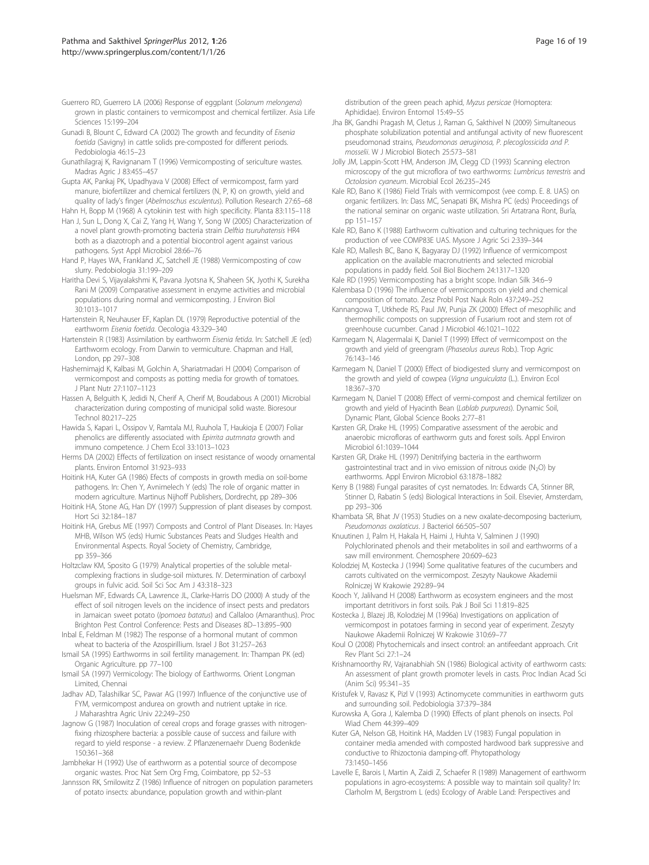Guerrero RD, Guerrero LA (2006) Response of eggplant (Solanum melongena) grown in plastic containers to vermicompost and chemical fertilizer. Asia Life Sciences 15:199–204

Gunadi B, Blount C, Edward CA (2002) The growth and fecundity of Eisenia foetida (Savigny) in cattle solids pre-composted for different periods. Pedobiologia 46:15–23

Gunathilagraj K, Ravignanam T (1996) Vermicomposting of sericulture wastes. Madras Agric J 83:455–457

Gupta AK, Pankaj PK, Upadhyava V (2008) Effect of vermicompost, farm yard manure, biofertilizer and chemical fertilizers (N, P, K) on growth, yield and quality of lady's finger (Abelmoschus esculentus). Pollution Research 27:65–68 Hahn H, Bopp M (1968) A cytokinin test with high specificity. Planta 83:115–118

Han J, Sun L, Dong X, Cai Z, Yang H, Wang Y, Song W (2005) Characterization of a novel plant growth-promoting bacteria strain Delftia tsuruhatensis HR4 both as a diazotroph and a potential biocontrol agent against various pathogens. Syst Appl Microbiol 28:66–76

Hand P, Hayes WA, Frankland JC, Satchell JE (1988) Vermicomposting of cow slurry. Pedobiologia 31:199–209

Haritha Devi S, Vijayalakshmi K, Pavana Jyotsna K, Shaheen SK, Jyothi K, Surekha Rani M (2009) Comparative assessment in enzyme activities and microbial populations during normal and vermicomposting. J Environ Biol 30:1013–1017

Hartenstein R, Neuhauser EF, Kaplan DL (1979) Reproductive potential of the earthworm Eisenia foetida. Oecologia 43:329–340

Hartenstein R (1983) Assimilation by earthworm Eisenia fetida. In: Satchell JE (ed) Earthworm ecology. From Darwin to vermiculture. Chapman and Hall, London, pp 297–308

Hashemimajd K, Kalbasi M, Golchin A, Shariatmadari H (2004) Comparison of vermicompost and composts as potting media for growth of tomatoes. J Plant Nutr 27:1107–1123

Hassen A, Belguith K, Jedidi N, Cherif A, Cherif M, Boudabous A (2001) Microbial characterization during composting of municipal solid waste. Bioresour Technol 80:217–225

Hawida S, Kapari L, Ossipov V, Ramtala MJ, Ruuhola T, Haukioja E (2007) Foliar phenolics are differently associated with Epirrita autmnata growth and immuno competence. J Chem Ecol 33:1013–1023

Herms DA (2002) Effects of fertilization on insect resistance of woody ornamental plants. Environ Entomol 31:923–933

Hoitink HA, Kuter GA (1986) Efects of composts in growth media on soil-bome pathogens. In: Chen Y, Avnimelech Y (eds) The role of organic matter in modern agriculture. Martinus Nijhoff Publishers, Dordrecht, pp 289–306

Hoitink HA, Stone AG, Han DY (1997) Suppression of plant diseases by compost. Hort Sci 32:184–187

Hoitink HA, Grebus ME (1997) Composts and Control of Plant Diseases. In: Hayes MHB, Wilson WS (eds) Humic Substances Peats and Sludges Health and Environmental Aspects. Royal Society of Chemistry, Cambridge, pp 359–366

Holtzclaw KM, Sposito G (1979) Analytical properties of the soluble metalcomplexing fractions in sludge-soil mixtures. IV. Determination of carboxyl groups in fulvic acid. Soil Sci Soc Am J 43:318–323

Huelsman MF, Edwards CA, Lawrence JL, Clarke-Harris DO (2000) A study of the effect of soil nitrogen levels on the incidence of insect pests and predators in Jamaican sweet potato (Ipomoea batatus) and Callaloo (Amaranthus). Proc Brighton Pest Control Conference: Pests and Diseases 8D–13:895–900

Inbal E, Feldman M (1982) The response of a hormonal mutant of common wheat to bacteria of the Azospirillium. Israel J Bot 31:257–263

Ismail SA (1995) Earthworms in soil fertility management. In: Thampan PK (ed) Organic Agriculture. pp 77–100

Ismail SA (1997) Vermicology: The biology of Earthworms. Orient Longman Limited, Chennai

Jadhav AD, Talashilkar SC, Pawar AG (1997) Influence of the conjunctive use of FYM, vermicompost andurea on growth and nutrient uptake in rice. J Maharashtra Agric Univ 22:249–250

Jagnow G (1987) Inoculation of cereal crops and forage grasses with nitrogenfixing rhizosphere bacteria: a possible cause of success and failure with regard to yield response - a review. Z Pflanzenernaehr Dueng Bodenkde 150:361–368

Jambhekar H (1992) Use of earthworm as a potential source of decompose organic wastes. Proc Nat Sem Org Fmg, Coimbatore, pp 52–53

Jannsson RK, Smilowitz Z (1986) Influence of nitrogen on population parameters of potato insects: abundance, population growth and within-plant

distribution of the green peach aphid, Myzus persicae (Homoptera: Aphididae). Environ Entomol 15:49–55

- Jha BK, Gandhi Pragash M, Cletus J, Raman G, Sakthivel N (2009) Simultaneous phosphate solubilization potential and antifungal activity of new fluorescent pseudomonad strains, Pseudomonas aeruginosa, P. plecoglossicida and P. mosselii. W J Microbiol Biotech 25:573–581
- Jolly JM, Lappin-Scott HM, Anderson JM, Clegg CD (1993) Scanning electron microscopy of the gut microflora of two earthworms: Lumbricus terrestris and Octolasion cyaneum. Microbial Ecol 26:235–245

Kale RD, Bano K (1986) Field Trials with vermicompost (vee comp. E. 8. UAS) on organic fertilizers. In: Dass MC, Senapati BK, Mishra PC (eds) Proceedings of the national seminar on organic waste utilization. Sri Artatrana Ront, Burla, pp 151–157

Kale RD, Bano K (1988) Earthworm cultivation and culturing techniques for the production of vee COMP83E UAS. Mysore J Agric Sci 2:339–344

Kale RD, Mallesh BC, Bano K, Bagyaray DJ (1992) Influence of vermicompost application on the available macronutrients and selected microbial populations in paddy field. Soil Biol Biochem 24:1317–1320

Kale RD (1995) Vermicomposting has a bright scope. Indian Silk 34:6–9 Kalembasa D (1996) The influence of vermicomposts on yield and chemical composition of tomato. Zesz Probl Post Nauk Roln 437:249–252

Kannangowa T, Utkhede RS, Paul JW, Punja ZK (2000) Effect of mesophilic and thermophilic composts on suppression of Fusarium root and stem rot of greenhouse cucumber. Canad J Microbiol 46:1021–1022

Karmegam N, Alagermalai K, Daniel T (1999) Effect of vermicompost on the growth and yield of greengram (Phaseolus aureus Rob.). Trop Agric 76:143–146

Karmegam N, Daniel T (2000) Effect of biodigested slurry and vermicompost on the growth and yield of cowpea (Vigna unguiculata (L.). Environ Ecol 18:367–370

Karmegam N, Daniel T (2008) Effect of vermi-compost and chemical fertilizer on growth and yield of Hyacinth Bean (Lablab purpureas). Dynamic Soil, Dynamic Plant, Global Science Books 2:77–81

Karsten GR, Drake HL (1995) Comparative assessment of the aerobic and anaerobic microfloras of earthworm guts and forest soils. Appl Environ Microbiol 61:1039–1044

Karsten GR, Drake HL (1997) Denitrifying bacteria in the earthworm gastrointestinal tract and in vivo emission of nitrous oxide  $(N_2O)$  by earthworms. Appl Environ Microbiol 63:1878–1882

Kerry B (1988) Fungal parasites of cyst nematodes. In: Edwards CA, Stinner BR, Stinner D, Rabatin S (eds) Biological Interactions in Soil. Elsevier, Amsterdam, pp 293–306

Khambata SR, Bhat JV (1953) Studies on a new oxalate-decomposing bacterium, Pseudomonas oxalaticus. J Bacteriol 66:505–507

Knuutinen J, Palm H, Hakala H, Haimi J, Huhta V, Salminen J (1990) Polychlorinated phenols and their metabolites in soil and earthworms of a saw mill environment. Chemosphere 20:609–623

Kolodziej M, Kostecka J (1994) Some qualitative features of the cucumbers and carrots cultivated on the vermicompost. Zeszyty Naukowe Akademii Rolniczej W Krakowie 292:89–94

Kooch Y, Jalilvand H (2008) Earthworm as ecosystem engineers and the most important detritivors in forst soils. Pak J Boil Sci 11:819–825

Kostecka J, Blazej JB, Kolodziej M (1996a) Investigations on application of vermicompost in potatoes farming in second year of experiment. Zeszyty Naukowe Akademii Rolniczej W Krakowie 310:69–77

Koul O (2008) Phytochemicals and insect control: an antifeedant approach. Crit Rev Plant Sci 27:1–24

Krishnamoorthy RV, Vajranabhiah SN (1986) Biological activity of earthworm casts: An assessment of plant growth promoter levels in casts. Proc Indian Acad Sci (Anim Sci) 95:341–35

Kristufek V, Ravasz K, Pizl V (1993) Actinomycete communities in earthworm guts and surrounding soil. Pedobiologia 37:379–384

Kurowska A, Gora J, Kalemba D (1990) Effects of plant phenols on insects. Pol Wiad Chem 44:399–409

Kuter GA, Nelson GB, Hoitink HA, Madden LV (1983) Fungal population in container media amended with composted hardwood bark suppressive and conductive to Rhizoctonia damping-off. Phytopathology 73:1450–1456

Lavelle E, Barois I, Martin A, Zaidi Z, Schaefer R (1989) Management of earthworm populations in agro-ecosystems: A possible way to maintain soil quality? In: Clarholm M, Bergstrom L (eds) Ecology of Arable Land: Perspectives and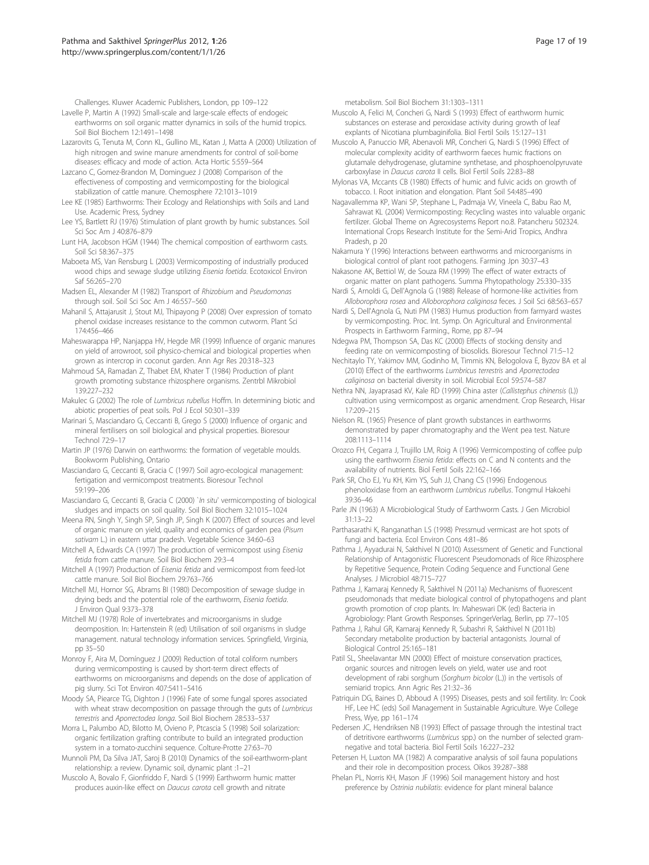Challenges. Kluwer Academic Publishers, London, pp 109–122

- Lavelle P, Martin A (1992) Small-scale and large-scale effects of endogeic earthworms on soil organic matter dynamics in soils of the humid tropics. Soil Biol Biochem 12:1491–1498
- Lazarovits G, Tenuta M, Conn KL, Gullino ML, Katan J, Matta A (2000) Utilization of high nitrogen and swine manure amendments for control of soil-bome diseases: efficacy and mode of action. Acta Hortic 5:559–564
- Lazcano C, Gomez-Brandon M, Dominguez J (2008) Comparison of the effectiveness of composting and vermicomposting for the biological stabilization of cattle manure. Chemosphere 72:1013–1019
- Lee KE (1985) Earthworms: Their Ecology and Relationships with Soils and Land Use. Academic Press, Sydney
- Lee YS, Bartlett RJ (1976) Stimulation of plant growth by humic substances. Soil Sci Soc Am J 40:876–879
- Lunt HA, Jacobson HGM (1944) The chemical composition of earthworm casts. Soil Sci 58:367–375
- Maboeta MS, Van Rensburg L (2003) Vermicomposting of industrially produced wood chips and sewage sludge utilizing Eisenia foetida. Ecotoxicol Environ Saf 56:265–270
- Madsen EL, Alexander M (1982) Transport of Rhizobium and Pseudomonas through soil. Soil Sci Soc Am J 46:557–560
- Mahanil S, Attajarusit J, Stout MJ, Thipayong P (2008) Over expression of tomato phenol oxidase increases resistance to the common cutworm. Plant Sci 174:456–466
- Maheswarappa HP, Nanjappa HV, Hegde MR (1999) Influence of organic manures on yield of arrowroot, soil physico-chemical and biological properties when grown as intercrop in coconut garden. Ann Agr Res 20:318–323
- Mahmoud SA, Ramadan Z, Thabet EM, Khater T (1984) Production of plant growth promoting substance rhizosphere organisms. Zentrbl Mikrobiol 139:227–232
- Makulec G (2002) The role of Lumbricus rubellus Hoffm. In determining biotic and abiotic properties of peat soils. Pol J Ecol 50:301–339
- Marinari S, Masciandaro G, Ceccanti B, Grego S (2000) Influence of organic and mineral fertilisers on soil biological and physical properties. Bioresour Technol 72:9–17
- Martin JP (1976) Darwin on earthworms: the formation of vegetable moulds. Bookworm Publishing, Ontario
- Masciandaro G, Ceccanti B, Gracia C (1997) Soil agro-ecological management: fertigation and vermicompost treatments. Bioresour Technol 59:199–206
- Masciandaro G, Ceccanti B, Gracia C (2000) 'In situ' vermicomposting of biological sludges and impacts on soil quality. Soil Biol Biochem 32:1015–1024
- Meena RN, Singh Y, Singh SP, Singh JP, Singh K (2007) Effect of sources and level of organic manure on yield, quality and economics of garden pea (Pisum sativam L.) in eastern uttar pradesh. Vegetable Science 34:60–63
- Mitchell A, Edwards CA (1997) The production of vermicompost using Eisenia fetida from cattle manure. Soil Biol Biochem 29:3–4
- Mitchell A (1997) Production of Eisenia fetida and vermicompost from feed-lot cattle manure. Soil Biol Biochem 29:763–766
- Mitchell MJ, Hornor SG, Abrams BI (1980) Decomposition of sewage sludge in drying beds and the potential role of the earthworm, Eisenia foetida. J Environ Qual 9:373–378
- Mitchell MJ (1978) Role of invertebrates and microorganisms in sludge deomposition. In: Hartenstein R (ed) Utilisation of soil organisms in sludge management. natural technology information services. Springfield, Virginia, pp 35–50
- Monroy F, Aira M, Domínguez J (2009) Reduction of total coliform numbers during vermicomposting is caused by short-term direct effects of earthworms on microorganisms and depends on the dose of application of pig slurry. Sci Tot Environ 407:5411–5416
- Moody SA, Piearce TG, Dighton J (1996) Fate of some fungal spores associated with wheat straw decomposition on passage through the guts of Lumbricus terrestris and Aporrectodea longa. Soil Biol Biochem 28:533–537
- Morra L, Palumbo AD, Bilotto M, Ovieno P, Ptcascia S (1998) Soil solarization: organic fertilization grafting contribute to build an integrated production system in a tomato-zucchini sequence. Colture-Protte 27:63–70
- Munnoli PM, Da Silva JAT, Saroj B (2010) Dynamics of the soil-earthworm-plant relationship: a review. Dynamic soil, dynamic plant :1–21
- Muscolo A, Bovalo F, Gionfriddo F, Nardi S (1999) Earthworm humic matter produces auxin-like effect on Daucus carota cell growth and nitrate

metabolism. Soil Biol Biochem 31:1303–1311

Muscolo A, Felici M, Concheri G, Nardi S (1993) Effect of earthworm humic substances on esterase and peroxidase activity during growth of leaf explants of Nicotiana plumbaginifolia. Biol Fertil Soils 15:127–131

- Muscolo A, Panuccio MR, Abenavoli MR, Concheri G, Nardi S (1996) Effect of molecular complexity acidity of earthworm faeces humic fractions on glutamale dehydrogenase, glutamine synthetase, and phosphoenolpyruvate carboxylase in Daucus carota II cells. Biol Fertil Soils 22:83–88
- Mylonas VA, Mccants CB (1980) Effects of humic and fulvic acids on growth of tobacco. I. Root initiation and elongation. Plant Soil 54:485–490
- Nagavallemma KP, Wani SP, Stephane L, Padmaja VV, Vineela C, Babu Rao M, Sahrawat KL (2004) Vermicomposting: Recycling wastes into valuable organic fertilizer. Global Theme on Agrecosystems Report no.8. Patancheru 502324. International Crops Research Institute for the Semi-Arid Tropics, Andhra Pradesh, p 20
- Nakamura Y (1996) Interactions between earthworms and microorganisms in biological control of plant root pathogens. Farming Jpn 30:37–43
- Nakasone AK, Bettiol W, de Souza RM (1999) The effect of water extracts of organic matter on plant pathogens. Summa Phytopathology 25:330–335
- Nardi S, Arnoldi G, Dell'Agnola G (1988) Release of hormone-like activities from Alloborophora rosea and Alloborophora caliginosa feces. J Soil Sci 68:563–657
- Nardi S, Dell'Agnola G, Nuti PM (1983) Humus production from farmyard wastes by vermicomposting. Proc. Int. Symp. On Agricultural and Environmental Prospects in Earthworm Farming., Rome, pp 87–94
- Ndegwa PM, Thompson SA, Das KC (2000) Effects of stocking density and feeding rate on vermicomposting of biosolids. Bioresour Technol 71:5–12
- Nechitaylo TY, Yakimov MM, Godinho M, Timmis KN, Belogolova E, Byzov BA et al (2010) Effect of the earthworms Lumbricus terrestris and Aporrectodea caliginosa on bacterial diversity in soil. Microbial Ecol 59:574–587
- Nethra NN, Jayaprasad KV, Kale RD (1999) China aster (Callistephus chinensis (L)) cultivation using vermicompost as organic amendment. Crop Research, Hisar 17:209–215
- Nielson RL (1965) Presence of plant growth substances in earthworms demonstrated by paper chromatography and the Went pea test. Nature 208:1113–1114
- Orozco FH, Cegarra J, Trujillo LM, Roig A (1996) Vermicomposting of coffee pulp using the earthworm Eisenia fetida: effects on C and N contents and the availability of nutrients. Biol Fertil Soils 22:162–166
- Park SR, Cho EJ, Yu KH, Kim YS, Suh JJ, Chang CS (1996) Endogenous phenoloxidase from an earthworm Lumbricus rubellus. Tongmul Hakoehi 39:36–46
- Parle JN (1963) A Microbiological Study of Earthworm Casts. J Gen Microbiol 31:13–22
- Parthasarathi K, Ranganathan LS (1998) Pressmud vermicast are hot spots of fungi and bacteria. Ecol Environ Cons 4:81–86
- Pathma J, Ayyadurai N, Sakthivel N (2010) Assessment of Genetic and Functional Relationship of Antagonistic Fluorescent Pseudomonads of Rice Rhizosphere by Repetitive Sequence, Protein Coding Sequence and Functional Gene Analyses. J Microbiol 48:715–727
- Pathma J, Kamaraj Kennedy R, Sakthivel N (2011a) Mechanisms of fluorescent pseudomonads that mediate biological control of phytopathogens and plant growth promotion of crop plants. In: Maheswari DK (ed) Bacteria in Agrobiology: Plant Growth Responses. SpringerVerlag, Berlin, pp 77–105
- Pathma J, Rahul GR, Kamaraj Kennedy R, Subashri R, Sakthivel N (2011b) Secondary metabolite production by bacterial antagonists. Journal of Biological Control 25:165–181
- Patil SL, Sheelavantar MN (2000) Effect of moisture conservation practices, organic sources and nitrogen levels on yield, water use and root development of rabi sorghum (Sorghum bicolor (L.)) in the vertisols of semiarid tropics. Ann Agric Res 21:32–36
- Patriquin DG, Baines D, Abboud A (1995) Diseases, pests and soil fertility. In: Cook HF, Lee HC (eds) Soil Management in Sustainable Agriculture. Wye College Press, Wye, pp 161–174
- Pedersen JC, Hendriksen NB (1993) Effect of passage through the intestinal tract of detritivore earthworms (Lumbricus spp.) on the number of selected gramnegative and total bacteria. Biol Fertil Soils 16:227–232
- Petersen H, Luxton MA (1982) A comparative analysis of soil fauna populations and their role in decomposition process. Oikos 39:287–388
- Phelan PL, Norris KH, Mason JF (1996) Soil management history and host preference by Ostrinia nubilatis: evidence for plant mineral balance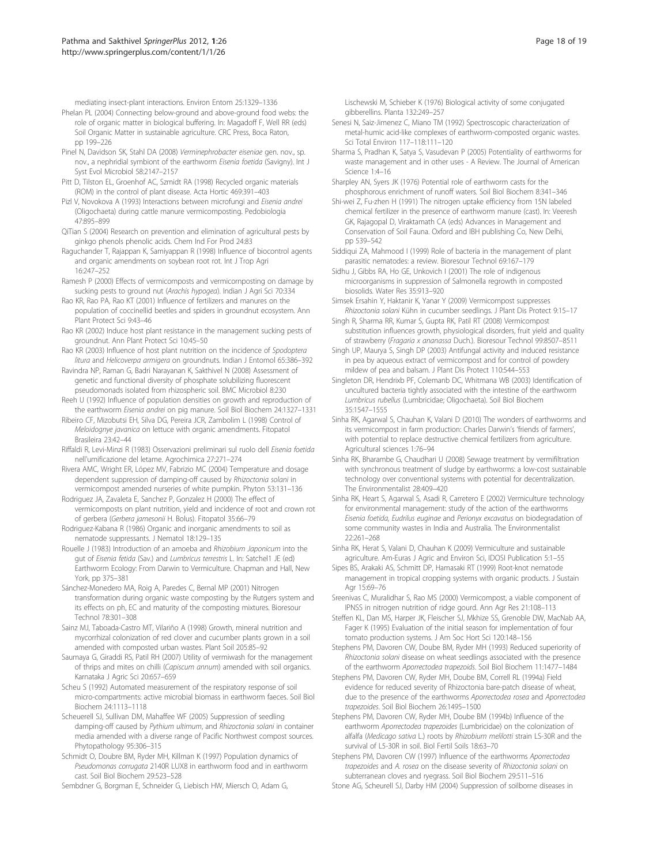mediating insect-plant interactions. Environ Entom 25:1329–1336

- Phelan PL (2004) Connecting below-ground and above-ground food webs: the role of organic matter in biological buffering. In: Magadoff F, Well RR (eds) Soil Organic Matter in sustainable agriculture. CRC Press, Boca Raton, pp 199–226
- Pinel N, Davidson SK, Stahl DA (2008) Verminephrobacter eiseniae gen. nov., sp. nov., a nephridial symbiont of the earthworm Eisenia foetida (Savigny). Int J Syst Evol Microbiol 58:2147–2157
- Pitt D, Tilston EL, Groenhof AC, Szmidt RA (1998) Recycled organic materials (ROM) in the control of plant disease. Acta Hortic 469:391–403
- Pizl V, Novokova A (1993) Interactions between microfungi and Eisenia andrei (Oligochaeta) during cattle manure vermicomposting. Pedobiologia 47:895–899
- QiTian S (2004) Research on prevention and elimination of agricultural pests by ginkgo phenols phenolic acids. Chem Ind For Prod 24:83
- Raguchander T, Rajappan K, Samiyappan R (1998) Influence of biocontrol agents and organic amendments on soybean root rot. Int J Trop Agri 16:247–252
- Ramesh P (2000) Effects of vermicomposts and vermicornposting on damage by sucking pests to ground nut (Arachis hypogea). Indian J Agri Sci 70:334
- Rao KR, Rao PA, Rao KT (2001) Influence of fertilizers and manures on the population of coccinellid beetles and spiders in groundnut ecosystem. Ann Plant Protect Sci 9:43–46
- Rao KR (2002) Induce host plant resistance in the management sucking pests of groundnut. Ann Plant Protect Sci 10:45–50
- Rao KR (2003) Influence of host plant nutrition on the incidence of Spodoptera litura and Helicoverpa armigera on groundnuts. Indian J Entomol 65:386–392
- Ravindra NP, Raman G, Badri Narayanan K, Sakthivel N (2008) Assessment of genetic and functional diversity of phosphate solubilizing fluorescent pseudomonads isolated from rhizospheric soil. BMC Microbiol 8:230
- Reeh U (1992) Influence of population densities on growth and reproduction of the earthworm Eisenia andrei on pig manure. Soil Biol Biochem 24:1327–1331
- Ribeiro CF, Mizobutsi EH, Silva DG, Pereira JCR, Zambolim L (1998) Control of Meloidognye javanica on lettuce with organic amendments. Fitopatol Brasileira 23:42–44
- Riffaldi R, Levi-Minzi R (1983) Osservazioni preliminari sul ruolo dell Eisenia foetida nell'umificazione del letame. Agrochimica 27:271–274
- Rivera AMC, Wright ER, López MV, Fabrizio MC (2004) Temperature and dosage dependent suppression of damping-off caused by Rhizoctonia solani in vermicompost amended nurseries of white pumpkin. Phyton 53:131–136
- Rodriguez JA, Zavaleta E, Sanchez P, Gonzalez H (2000) The effect of vermicomposts on plant nutrition, yield and incidence of root and crown rot of gerbera (Gerbera jamesonii H. Bolus). Fitopatol 35:66–79
- Rodriguez-Kabana R (1986) Organic and inorganic amendments to soil as nematode suppressants. J Nematol 18:129–135
- Rouelle J (1983) Introduction of an amoeba and Rhizobium Japonicum into the gut of Eisenia fetida (Sav.) and Lumbricus terrestris L. In: Satchel1 JE (ed) Earthworm Ecology: From Darwin to Vermiculture. Chapman and Hall, New York, pp 375–381
- Sánchez-Monedero MA, Roig A, Paredes C, Bernal MP (2001) Nitrogen transformation during organic waste composting by the Rutgers system and its effects on ph, EC and maturity of the composting mixtures. Bioresour Technol 78:301–308
- Sainz MJ, Taboada-Castro MT, Vilariño A (1998) Growth, mineral nutrition and mycorrhizal colonization of red clover and cucumber plants grown in a soil amended with composted urban wastes. Plant Soil 205:85–92
- Saumaya G, Giraddi RS, Patil RH (2007) Utility of vermiwash for the management of thrips and mites on chilli (Capiscum annum) amended with soil organics. Karnataka J Agric Sci 20:657–659
- Scheu S (1992) Automated measurement of the respiratory response of soil micro-compartments: active microbial biomass in earthworm faeces. Soil Biol Biochem 24:1113–1118
- Scheuerell SJ, Sullivan DM, Mahaffee WF (2005) Suppression of seedling damping-off caused by Pythium ultimum, and Rhizoctonia solani in container media amended with a diverse range of Pacific Northwest compost sources. Phytopathology 95:306–315
- Schmidt O, Doubre BM, Ryder MH, Killman K (1997) Population dynamics of Pseudomonas corrugata 2140R LUX8 in earthworm food and in earthworm cast. Soil Biol Biochem 29:523–528

Sembdner G, Borgman E, Schneider G, Liebisch HW, Miersch O, Adam G,

Lischewski M, Schieber K (1976) Biological activity of some conjugated gibberellins. Planta 132:249–257

- Senesi N, Saiz-Jimenez C, Miano TM (1992) Spectroscopic characterization of metal-humic acid-like complexes of earthworm-composted organic wastes. Sci Total Environ 117–118:111–120
- Sharma S, Pradhan K, Satya S, Vasudevan P (2005) Potentiality of earthworms for waste management and in other uses - A Review. The Journal of American Science 1:4–16
- Sharpley AN, Syers JK (1976) Potential role of earthworm casts for the phosphorous enrichment of runoff waters. Soil Biol Biochem 8:341–346
- Shi-wei Z, Fu-zhen H (1991) The nitrogen uptake efficiency from 15N labeled chemical fertilizer in the presence of earthworm manure (cast). In: Veeresh GK, Rajagopal D, Viraktamath CA (eds) Advances in Management and Conservation of Soil Fauna. Oxford and IBH publishing Co, New Delhi, pp 539–542
- Siddiqui ZA, Mahmood I (1999) Role of bacteria in the management of plant parasitic nematodes: a review. Bioresour Technol 69:167–179
- Sidhu J, Gibbs RA, Ho GE, Unkovich I (2001) The role of indigenous microorganisms in suppression of Salmonella regrowth in composted biosolids. Water Res 35:913–920
- Simsek Ersahin Y, Haktanir K, Yanar Y (2009) Vermicompost suppresses Rhizoctonia solani Kühn in cucumber seedlings. J Plant Dis Protect 9:15–17
- Singh R, Sharma RR, Kumar S, Gupta RK, Patil RT (2008) Vermicompost substitution influences growth, physiological disorders, fruit yield and quality of strawberry (Fragaria x ananassa Duch.). Bioresour Technol 99:8507–8511
- Singh UP, Maurya S, Singh DP (2003) Antifungal activity and induced resistance in pea by aqueous extract of vermicompost and for control of powdery mildew of pea and balsam. J Plant Dis Protect 110:544–553
- Singleton DR, Hendrixb PF, Colemanb DC, Whitmana WB (2003) Identification of uncultured bacteria tightly associated with the intestine of the earthworm Lumbricus rubellus (Lumbricidae; Oligochaeta). Soil Biol Biochem 35:1547–1555
- Sinha RK, Agarwal S, Chauhan K, Valani D (2010) The wonders of earthworms and its vermicompost in farm production: Charles Darwin's 'friends of farmers', with potential to replace destructive chemical fertilizers from agriculture. Agricultural sciences 1:76–94
- Sinha RK, Bharambe G, Chaudhari U (2008) Sewage treatment by vermifiltration with synchronous treatment of sludge by earthworms: a low-cost sustainable technology over conventional systems with potential for decentralization. The Environmentalist 28:409–420
- Sinha RK, Heart S, Agarwal S, Asadi R, Carretero E (2002) Vermiculture technology for environmental management: study of the action of the earthworms Eisenia foetida, Eudrilus euginae and Perionyx excavatus on biodegradation of some community wastes in India and Australia. The Environmentalist 22:261–268
- Sinha RK, Herat S, Valani D, Chauhan K (2009) Vermiculture and sustainable agriculture. Am-Euras J Agric and Environ Sci, IDOSI Publication 5:1–55
- Sipes BS, Arakaki AS, Schmitt DP, Hamasaki RT (1999) Root-knot nematode management in tropical cropping systems with organic products. J Sustain Agr 15:69–76
- Sreenivas C, Muralidhar S, Rao MS (2000) Vermicompost, a viable component of IPNSS in nitrogen nutrition of ridge gourd. Ann Agr Res 21:108–113
- Steffen KL, Dan MS, Harper JK, Fleischer SJ, Mkhize SS, Grenoble DW, MacNab AA, Fager K (1995) Evaluation of the initial season for implementation of four tomato production systems. J Am Soc Hort Sci 120:148–156
- Stephens PM, Davoren CW, Doube BM, Ryder MH (1993) Reduced superiority of Rhizoctonia solani disease on wheat seedlings associated with the presence of the earthworm Aporrectodea trapezoids. Soil Biol Biochem 11:1477–1484
- Stephens PM, Davoren CW, Ryder MH, Doube BM, Correll RL (1994a) Field evidence for reduced severity of Rhizoctonia bare-patch disease of wheat, due to the presence of the earthworms Aporrectodea rosea and Aporrectodea trapezoides. Soil Biol Biochem 26:1495–1500
- Stephens PM, Davoren CW, Ryder MH, Doube BM (1994b) Influence of the earthworm Aporrectodea trapezoides (Lumbricidae) on the colonization of alfalfa (Medicago sativa L.) roots by Rhizobium melilotti strain LS-30R and the survival of L5-30R in soil. Biol Fertil Soils 18:63–70
- Stephens PM, Davoren CW (1997) Influence of the earthworms Aporrectodea trapezoides and A. rosea on the disease severity of Rhizoctonia solani on subterranean cloves and ryegrass. Soil Biol Biochem 29:511–516
- Stone AG, Scheurell SJ, Darby HM (2004) Suppression of soilborne diseases in